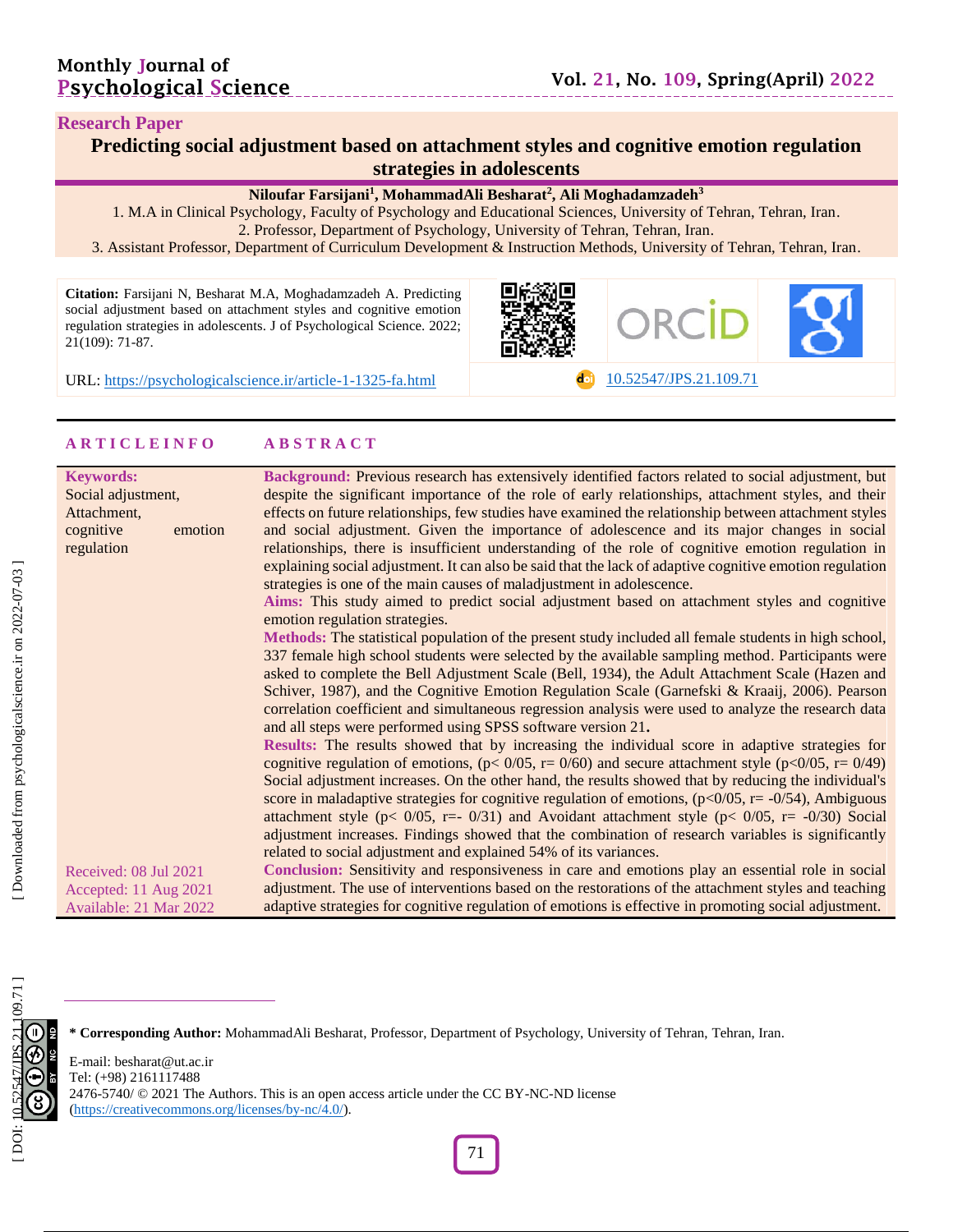do [10.52547/JPS.21.109.71](https://psychologicalscience.ir/article-1-1325-fa.html)

#### **Research Paper**

| Predicting social adjustment based on attachment styles and cognitive emotion regulation |
|------------------------------------------------------------------------------------------|
| strategies in adolescents                                                                |

\_\_\_\_\_\_\_\_\_\_\_\_\_\_\_\_\_\_\_\_\_

#### **Niloufar Farsijani 1 , MohammadAli Besharat 2 , Ali Moghadamzadeh 3**

1. M.A in Clinical Psychology, Faculty of Psychology and Educational Sciences, University of Tehran, Tehran, Iran . 2. Professor, Department of Psychology, University of Tehran, Tehran, Iran .

3 . Assistant Professor, Department of Curriculum Development & Instruction Methods, University of Tehran, Tehran, Iran .

**Citation:** Farsijani N, Besharat M.A, Moghadamzadeh A. Predicting social adjustment based on attachment styles and cognitive emotion regulation strategies in adolescents. J of Psychological Science. 2022; 21(109): 71 -87 .



URL: [https://psychologicalscience.ir/article](https://psychologicalscience.ir/article-1-1325-fa.html)-1-1325

## **A R T I C L E I N F O A B S T R A C T**

| <b>Keywords:</b>       |         | Background: Previous research has extensively identified factors related to social adjustment, but                             |
|------------------------|---------|--------------------------------------------------------------------------------------------------------------------------------|
| Social adjustment,     |         | despite the significant importance of the role of early relationships, attachment styles, and their                            |
| Attachment,            |         | effects on future relationships, few studies have examined the relationship between attachment styles                          |
| cognitive              | emotion | and social adjustment. Given the importance of adolescence and its major changes in social                                     |
|                        |         | relationships, there is insufficient understanding of the role of cognitive emotion regulation in                              |
| regulation             |         |                                                                                                                                |
|                        |         | explaining social adjustment. It can also be said that the lack of adaptive cognitive emotion regulation                       |
|                        |         | strategies is one of the main causes of maladjustment in adolescence.                                                          |
|                        |         | Aims: This study aimed to predict social adjustment based on attachment styles and cognitive<br>emotion regulation strategies. |
|                        |         | Methods: The statistical population of the present study included all female students in high school,                          |
|                        |         | 337 female high school students were selected by the available sampling method. Participants were                              |
|                        |         |                                                                                                                                |
|                        |         | asked to complete the Bell Adjustment Scale (Bell, 1934), the Adult Attachment Scale (Hazen and                                |
|                        |         | Schiver, 1987), and the Cognitive Emotion Regulation Scale (Garnefski & Kraaij, 2006). Pearson                                 |
|                        |         | correlation coefficient and simultaneous regression analysis were used to analyze the research data                            |
|                        |         | and all steps were performed using SPSS software version 21.                                                                   |
|                        |         | Results: The results showed that by increasing the individual score in adaptive strategies for                                 |
|                        |         | cognitive regulation of emotions, $(p < 0/05$ , $r = 0/60)$ and secure attachment style $(p < 0/05$ , $r = 0/49)$              |
|                        |         | Social adjustment increases. On the other hand, the results showed that by reducing the individual's                           |
|                        |         | score in maladaptive strategies for cognitive regulation of emotions, $(p<0/05, r = -0/54)$ , Ambiguous                        |
|                        |         | attachment style ( $p < 0/05$ , r=- 0/31) and Avoidant attachment style ( $p < 0/05$ , r= -0/30) Social                        |
|                        |         | adjustment increases. Findings showed that the combination of research variables is significantly                              |
|                        |         | related to social adjustment and explained 54% of its variances.                                                               |
| Received: 08 Jul 2021  |         | Conclusion: Sensitivity and responsiveness in care and emotions play an essential role in social                               |
|                        |         | adjustment. The use of interventions based on the restorations of the attachment styles and teaching                           |
| Accepted: 11 Aug 2021  |         |                                                                                                                                |
| Available: 21 Mar 2022 |         | adaptive strategies for cognitive regulation of emotions is effective in promoting social adjustment.                          |



**\* Corresponding Author:** MohammadAli Besharat, Professor, Department of Psychology, University of Tehran, Tehran, Iran.

E -mail: besharat@ut.ac.ir Tel: (+98) 2161117488 2476-5740/ © 2021 The Authors. This is an open access article under the CC BY-NC-ND license [\(https://creativecommons.org/licenses/by](https://creativecommons.org/licenses/by-nc/4.0/) -nc/4.0/).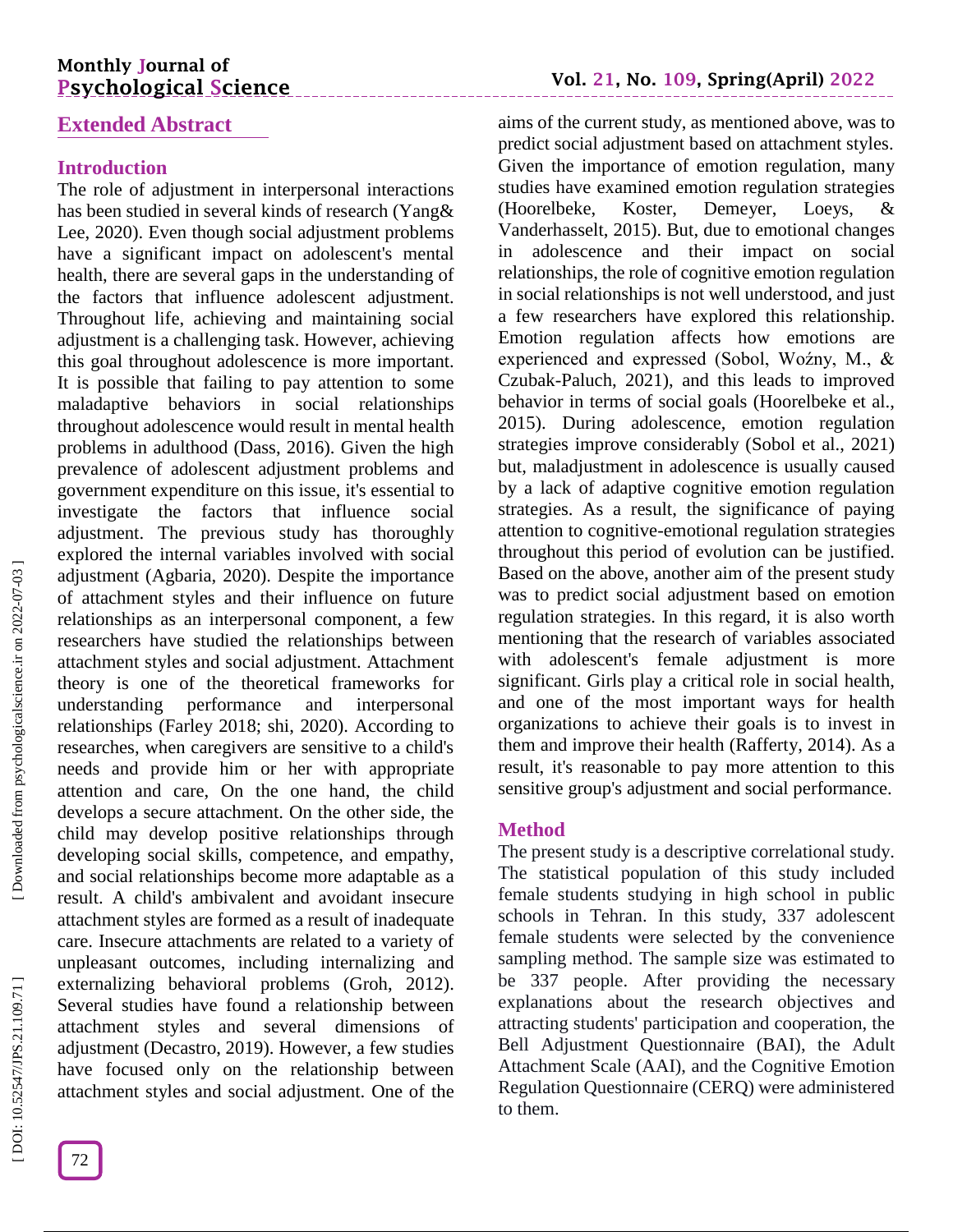# **Monthly Journal of Psychological Science**

# **Extended Abstract**

## **Introduction**

The role of adjustment in interpersonal interactions has been studied in several kinds of research (Yang& Lee, 2020). Even though social adjustment problems have a significant impact on adolescent's mental health, there are several gaps in the understanding of the factors that influence adolescent adjustment. Throughout life, achieving and maintaining social adjustment is a challenging task. However, achieving this goal throughout adolescence is more important. It is possible that failing to pay attention to some maladaptive behaviors in social relationships throughout adolescence would result in mental health problems in adulthood (Dass, 2016). Given the high prevalence of adolescent adjustment problems and government expenditure on this issue, it's essential to investigate the factors that influence social adjustment. The previous study has thoroughly explored the internal variables involved with social adjustment (Agbaria, 2020). Despite the importance of attachment styles and their influence on future relationships as an interpersonal component, a few researchers have studied the relationships between attachment styles and social adjustment. Attachment theory is one of the theoretical frameworks for understanding performance and interpersonal relationships (Farley 2018; shi, 2020). According to researches, when caregivers are sensitive to a child's needs and provide him or her with appropriate attention and care, On the one hand, the child develops a secure attachment. On the other side, the child may develop positive relationships through developing social skills, competence, and empathy, and social relationships become more adaptable as a result. A child's ambivalent and avoidant insecure attachment styles are formed as a result of inadequate care. Insecure attachments are related to a variety of unpleasant outcomes, including internalizing and externalizing behavioral problems (Groh, 2012). Several studies have found a relationship between attachment styles and several dimensions of adjustment (Decastro, 2019). However, a few studies have focused only on the relationship between attachment styles and social adjustment. One of the

aims of the current study, as mentioned above, was to predict social adjustment based on attachment styles. Given the importance of emotion regulation, many studies have examined emotion regulation strategies (Hoorelbeke, Koster, Demeyer, Loeys, & Vanderhasselt, 2015). But, due to emotional changes in adolescence and their impact on social relationships, the role of cognitive emotion regulation in social relationships is not well understood, and just a few researchers have explored this relationship. Emotion regulation affects how emotions are experienced and expressed (Sobol, Woźny, M., & Czubak -Paluch, 2021), and this leads to improved behavior in terms of social goals (Hoorelbeke et al., 2015). During adolescence, emotion regulation strategies improve considerably (Sobol et al., 2021) but, maladjustment in adolescence is usually caused by a lack of adaptive cognitive emotion regulation strategies. As a result, the significance of paying attention to cognitive -emotional regulation strategies throughout this period of evolution can be justified. Based on the above, another aim of the present study was to predict social adjustment based on emotion regulation strategies. In this regard, it is also worth mentioning that the research of variables associated with adolescent's female adjustment is more significant. Girls play a critical role in social health, and one of the most important ways for health organizations to achieve their goals is to invest in them and improve their health (Rafferty, 2014). As a result, it's reasonable to pay more attention to this sensitive group's adjustment and social performance.

## **Method**

The present study is a descriptive correlational study. The statistical population of this study included female students studying in high school in public schools in Tehran. In this study, 337 adolescent female students were selected by the convenience sampling method. The sample size was estimated to be 337 people. After providing the necessary explanations about the research objectives and attracting students' participation and cooperation, the Bell Adjustment Questionnaire (BAI), the Adult Attachment Scale (AAI), and the Cognitive Emotion Regulation Questionnaire (CERQ) were administered to them.

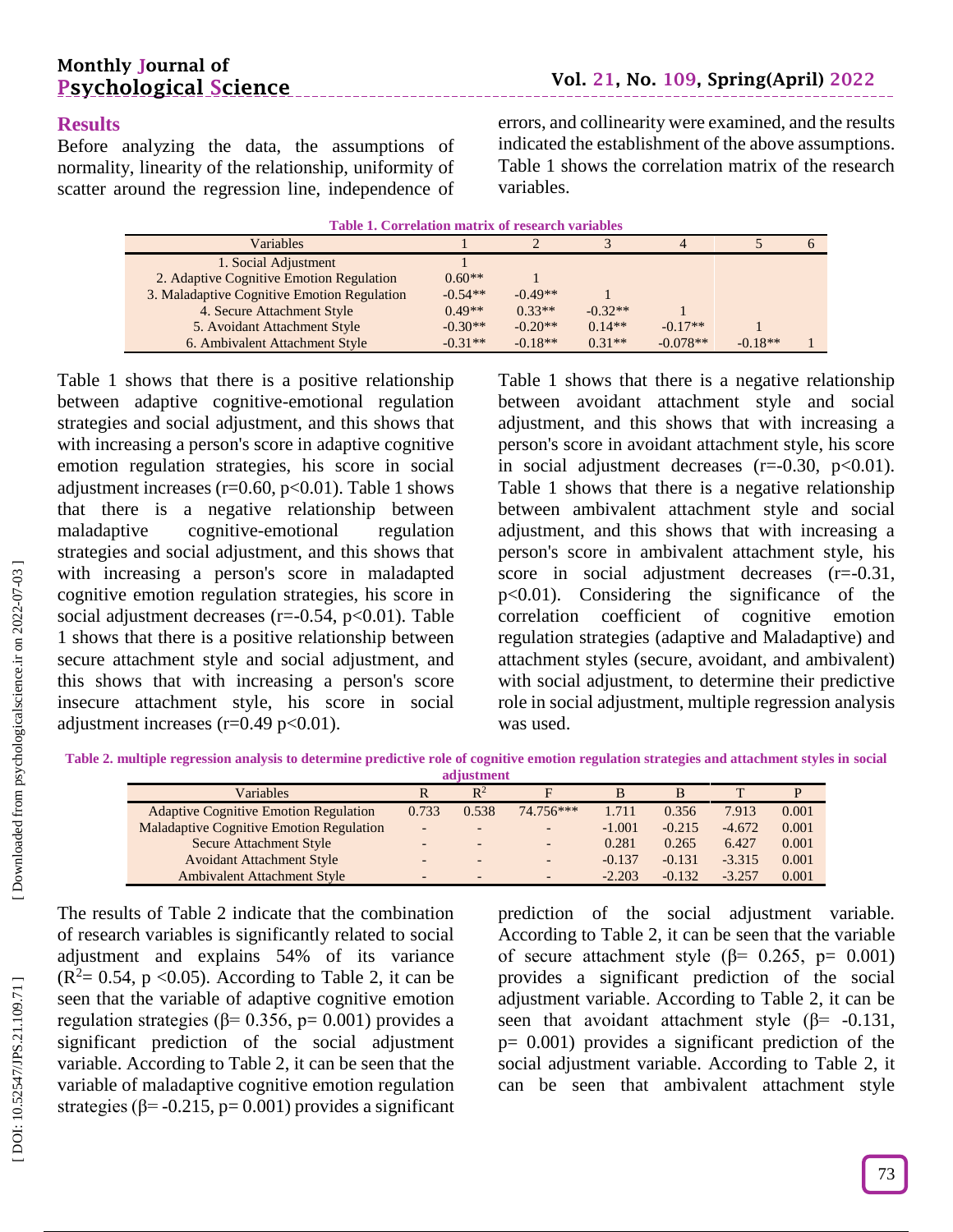# **Results**

Before analyzing the data, the assumptions of normality, linearity of the relationship, uniformity of scatter around the regression line, independence of

errors, and collinearity were examined, and the results indicated the establishment of the above assumptions. Table 1 shows the correlation matrix of the research variables.

| Table 1. Correlation matrix of research variables |           |           |           |            |           |  |  |  |
|---------------------------------------------------|-----------|-----------|-----------|------------|-----------|--|--|--|
| Variables                                         |           |           |           |            |           |  |  |  |
| 1. Social Adjustment                              |           |           |           |            |           |  |  |  |
| 2. Adaptive Cognitive Emotion Regulation          | $0.60**$  |           |           |            |           |  |  |  |
| 3. Maladaptive Cognitive Emotion Regulation       | $-0.54**$ | $-0.49**$ |           |            |           |  |  |  |
| 4. Secure Attachment Style                        | $0.49**$  | $0.33**$  | $-0.32**$ |            |           |  |  |  |
| 5. Avoidant Attachment Style                      | $-0.30**$ | $-0.20**$ | $0.14**$  | $-0.17**$  |           |  |  |  |
| 6. Ambivalent Attachment Style                    | $-0.31**$ | $-0.18**$ | $0.31**$  | $-0.078**$ | $-0.18**$ |  |  |  |

Table 1 shows that there is a positive relationship between adaptive cognitive -emotional regulation strategies and social adjustment, and this shows that with increasing a person's score in adaptive cognitive emotion regulation strategies, his score in social adjustment increases ( $r=0.60$ ,  $p<0.01$ ). Table 1 shows that there is a negative relationship between maladaptive cognitive-emotional regulation strategies and social adjustment, and this shows that with increasing a person's score in maladapted cognitive emotion regulation strategies, his score in social adjustment decreases  $(r=0.54, p<0.01)$ . Table 1 shows that there is a positive relationship between secure attachment style and social adjustment, and this shows that with increasing a person's score insecure attachment style, his score in social adjustment increases  $(r=0.49 \text{ p} < 0.01)$ .

Table 1 shows that there is a negative relationship between avoidant attachment style and social adjustment, and this shows that with increasing a person's score in avoidant attachment style, his score in social adjustment decreases  $(r=0.30, p<0.01)$ . Table 1 shows that there is a negative relationship between ambivalent attachment style and social adjustment, and this shows that with increasing a person's score in ambivalent attachment style, his score in social adjustment decreases  $(r=0.31,$ p<0.01). Considering the significance of the correlation coefficient of cognitive emotion regulation strategies (adaptive and Maladaptive) and attachment styles (secure, avoidant, and ambivalent) with social adjustment, to determine their predictive role in social adjustment, multiple regression analysis was used.

**Table 2 . multiple regression analysis to determine predictive role of cognitive emotion regulation strategies and attachment styles in social adjustment**

| Variables                                       |       | $R^2$  |           | в        |          |          |       |
|-------------------------------------------------|-------|--------|-----------|----------|----------|----------|-------|
| <b>Adaptive Cognitive Emotion Regulation</b>    | 0.733 | 0.538  | 74.756*** | 1.711    | 0.356    | 7.913    | 0.001 |
| <b>Maladaptive Cognitive Emotion Regulation</b> |       |        | -         | $-1.001$ | $-0.215$ | $-4.672$ | 0.001 |
| Secure Attachment Style                         |       | $\sim$ | -         | 0.281    | 0.265    | 6.427    | 0.001 |
| <b>Avoidant Attachment Style</b>                |       |        | -         | $-0.137$ | $-0.131$ | $-3.315$ | 0.001 |
| <b>Ambivalent Attachment Style</b>              |       |        |           | $-2.203$ | $-0.132$ | $-3.257$ | 0.001 |

The results of Table 2 indicate that the combination of research variables is significantly related to social adjustment and explains 54% of its variance  $(R<sup>2</sup>= 0.54, p < 0.05)$ . According to Table 2, it can be seen that the variable of adaptive cognitive emotion regulation strategies ( $β = 0.356$ ,  $p = 0.001$ ) provides a significant prediction of the social adjustment variable. According to Table 2, it can be seen that the variable of maladaptive cognitive emotion regulation strategies ( $\beta$ = -0.215, p= 0.001) provides a significant

prediction of the social adjustment variable. According to Table 2, it can be seen that the variable of secure attachment style ( $\beta$ = 0.265, p= 0.001) provides a significant prediction of the social adjustment variable. According to Table 2, it can be seen that avoidant attachment style ( $\beta$ = -0.131, p= 0.001) provides a significant prediction of the social adjustment variable. According to Table 2, it can be seen that ambivalent attachment style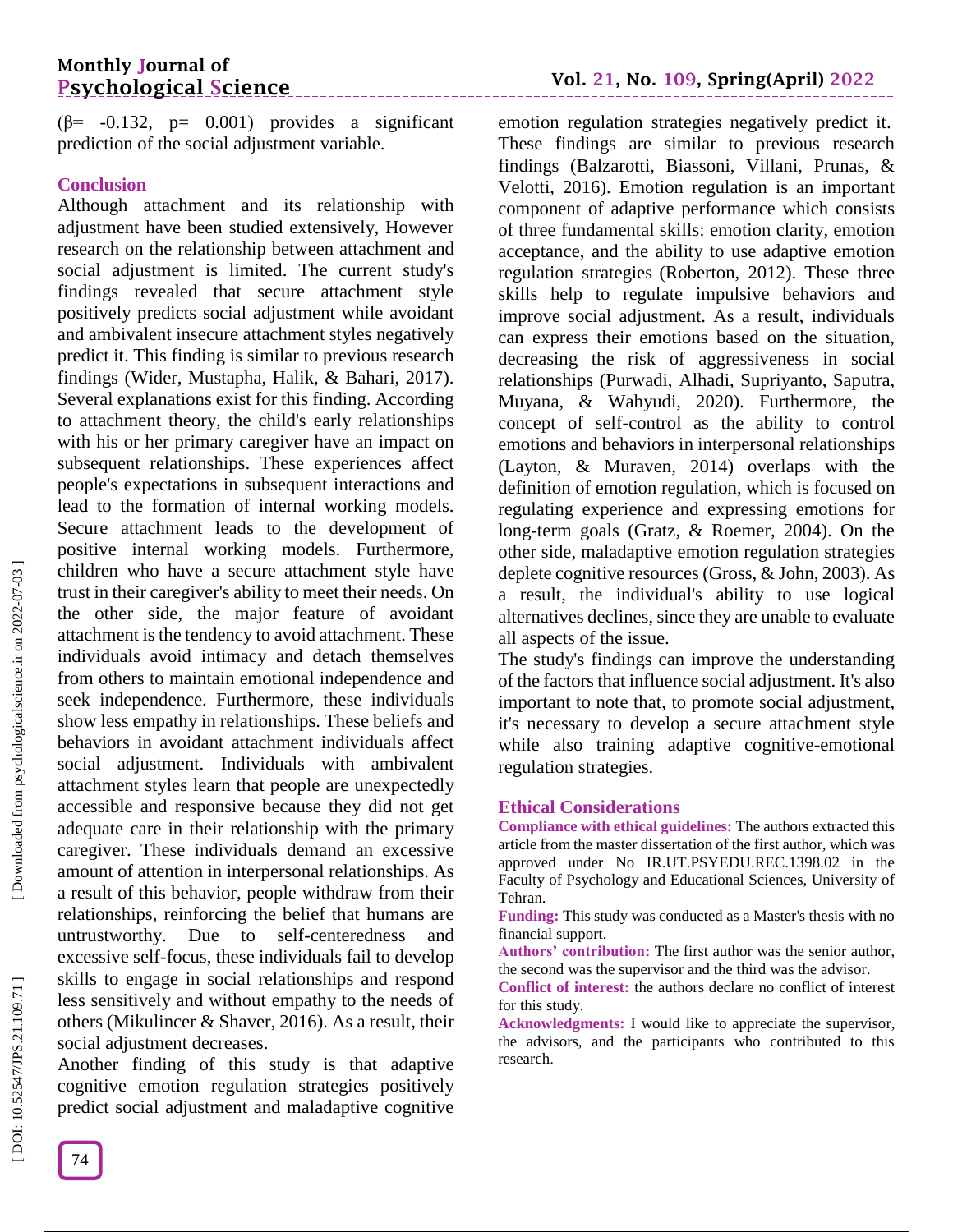# **Monthly Journal of Psychological Science**

 $(\beta$ = -0.132, p= 0.001) provides a significant prediction of the social adjustment variable.

### **Conclusion**

Although attachment and its relationship with adjustment have been studied extensively, However research on the relationship between attachment and social adjustment is limited. The current study's findings revealed that secure attachment style positively predicts social adjustment while avoidant and ambivalent insecure attachment styles negatively predict it. This finding is similar to previous research findings (Wider, Mustapha, Halik, & Bahari, 2017). Several explanations exist for this finding. According to attachment theory, the child's early relationships with his or her primary caregiver have an impact on subsequent relationships. These experiences affect people's expectations in subsequent interactions and lead to the formation of internal working models. Secure attachment leads to the development of positive internal working models. Furthermore, children who have a secure attachment style have trust in their caregiver's ability to meet their needs. On the other side, the major feature of avoidant attachment is the tendency to avoid attachment. These individuals avoid intimacy and detach themselves from others to maintain emotional independence and seek independence. Furthermore, these individuals show less empathy in relationships. These beliefs and behaviors in avoidant attachment individuals affect social adjustment. Individuals with ambivalent attachment styles learn that people are unexpectedly accessible and responsive because they did not get adequate care in their relationship with the primary caregiver. These individuals demand an excessive amount of attention in interpersonal relationships. As a result of this behavior, people withdraw from their relationships, reinforcing the belief that humans are untrustworthy. Due to self-centeredness and excessive self-focus, these individuals fail to develop skills to engage in social relationships and respond less sensitively and without empathy to the needs of others (Mikulincer & Shaver, 2016). As a result, their social adjustment decreases.

Another finding of this study is that adaptive cognitive emotion regulation strategies positively predict social adjustment and maladaptive cognitive

emotion regulation strategies negatively predict it. These findings are similar to previous research findings (Balzarotti, Biassoni, Villani, Prunas, & Velotti, 2016). Emotion regulation is an important component of adaptive performance which consists of three fundamental skills: emotion clarity, emotion acceptance, and the ability to use adaptive emotion regulation strategies (Roberton, 2012). These three skills help to regulate impulsive behaviors and improve social adjustment. As a result, individuals can express their emotions based on the situation, decreasing the risk of aggressiveness in social relationships (Purwadi, Alhadi, Supriyanto, Saputra, Muyana, & Wahyudi, 2020). Furthermore, the concept of self-control as the ability to control emotions and behaviors in interpersonal relationships (Layton, & Muraven, 2014) overlaps with the definition of emotion regulation, which is focused on regulating experience and expressing emotions for long -term goals (Gratz, & Roemer, 2004). On the other side, maladaptive emotion regulation strategies deplete cognitive resources (Gross, & John, 2003). As a result, the individual's ability to use logical alternatives declines, since they are unable to evaluate all aspects of the issue.

The study's findings can improve the understanding of the factors that influence social adjustment. It's also important to note that, to promote social adjustment, it's necessary to develop a secure attachment style while also training adaptive cognitive -emotional regulation strategies.

### **Ethical Considerations**

**Compliance with ethical guidelines:** The authors extracted this article from the master dissertation of the first author, which was approved under No IR.UT.PSYEDU.REC.1398.02 in the Faculty of Psychology and Educational Sciences, University of Tehran.

**Funding:** This study was conducted as a Master's thesis with no financial support.

**Authors' contribution:** The first author was the senior author, the second was the supervisor and the third was the advisor.

**Conflict of interest:** the authors declare no conflict of interest for this study.

**Acknowledgments:** I would like to appreciate the supervisor, the advisors, and the participants who contributed to this research .

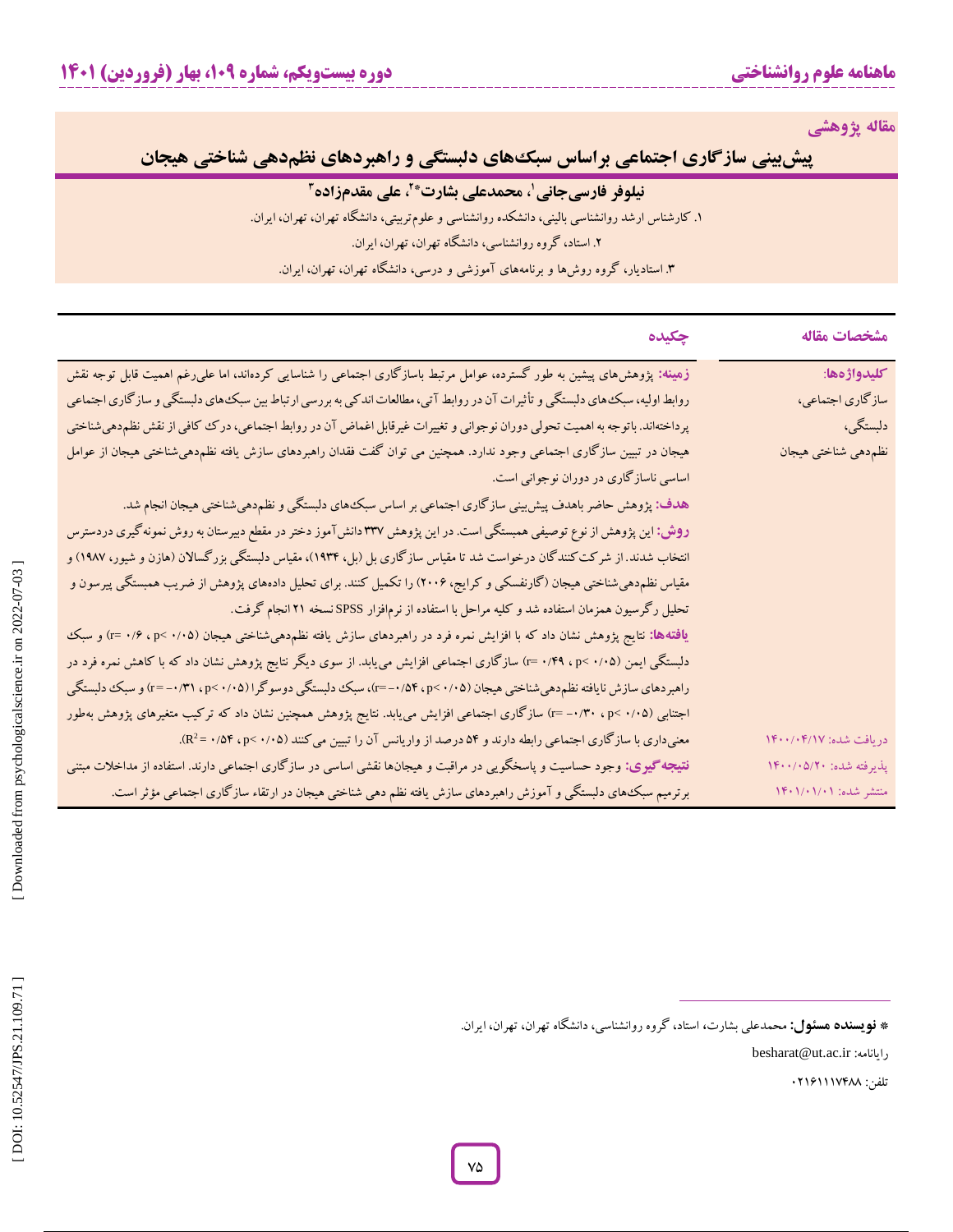**مقاله پژوهشی**

**راهبردهای نظمدهی شناختی هیجان پیشبینی سازگاری اجتماعی براساس سبکهای دلبستگی و**

## **نیلوفر فارسیجانی 2 ، محمدعلی بشارت\* 1 علی مقدمزاده ،**

. کارشناس ارشد روانشناسی بالینی، دانشکده روانشناسی و علومتربیتی، دانشگاه تهران، تهران، ایران. **<sup>3</sup>** .2 استاد، گروه روانشناسی، دانشگاه تهران، تهران، ایران. <sup>1</sup> ۴. استادیار، کروه روشها و برنامههای آموزشی و درسی، دانشکاه تهران، تهران، ایران.

| مشخصات مقاله            | چکیده                                                                                                                         |
|-------------------------|-------------------------------------------------------------------------------------------------------------------------------|
| كليدواژهها:             | زهینه: پژوهش،های پیشین به طور گسترده، عوامل مرتبط باسازگاری اجتماعی را شناسایی کردهاند، اما علیرغم اهمیت قابل توجه نقش        |
| سازگاري اجتماعي،        | روابط اولیه، سبک های دلبستگی و تأثیرات آن در روابط آتی، مطالعات اندکی به بررسی ارتباط بین سبک های دلبستگی و سازگاری اجتماعی   |
| دلبستگی،                | پرداختهاند. باتوجه به اهمیت تحولی دوران نوجوانی و تغییرات غیرقابل اغماض آن در روابط اجتماعی، در ک کافی از نقش نظم دهیشناختی   |
| نظم دهي شناختي هيجان    | هیجان در تبیین سازگاری اجتماعی وجود ندارد. همچنین می توان گفت فقدان راهبردهای سازش یافته نظم‹هیشناختی هیجان از عوامل          |
|                         | اساسی ناسازگاری در دوران نوجوانی است.                                                                                         |
|                         | هدف: پژوهش حاضر باهدف پیش بینی ساز گاری اجتماعی بر اساس سبک۱های دلبستگی و نظم۵هیشناختی هیجان انجام شد.                        |
|                         | <b>روش:</b> این پژوهش از نوع توصیفی همبستگی است. در این پژوهش ۳۳۷ دانشTموز دختر در مقطع دبیرستان به روش نمونه گیری دردسترس    |
|                         | انتخاب شدند. از شرکت کنندگان درخواست شد تا مقیاس سازگاری بل (بل، ۱۹۳۴)، مقیاس دلبستگی بزرگسالان (هازن و شیور، ۱۹۸۷) و         |
|                         | مقیاس نظم‹هیشناختی هیجان (گارنفسکی و کرایج، ۲۰۰۶) را تکمیل کنند. برای تحلیل دادههای پژوهش از ضریب همبستگی پیرسون و            |
|                         | تحلیل رگرسیون همزمان استفاده شد و کلیه مراحل با استفاده از نرم فزار SPSS نسخه ۲۱ انجام گرفت.                                  |
|                         | <b>یافتهها:</b> نتایج پژوهش نشان داد که با افزایش نمره فرد در راهبردهای سازش یافته نظم۵هیشناختی هیجان (۵۰/۰× p< ۰/۴ =r) و سبک |
|                         | دلبستگی ایمن (p< ۰/۰۵ ، p< ۰/۰۵) سازگاری اجتماعی افزایش میuباد. از سوی دیگر نتایج پژوهش نشان داد که با کاهش نمره فرد در       |
|                         | راهبردهای سازش نایافته نظم«هیشناختی هیجان (۰/۰۵× ۲۰/۹۴)، سبک دلبستگی دوسوگرا (۰/۰۵× ۲۰p/ ۳۱۰+-=r) و سبک دلبستگی               |
|                         | اجتنابی (۰/۰۵× ۳۰/۳۰ - r=) سازگاری اجتماعی افزایش می،یابد. نتایج پژوهش همچنین نشان داد که ترکیب متغیرهای پژوهش بهطور          |
| دريافت شده: ١٤٠١/١٤     | معنیداری با سازگاری اجتماعی رابطه دارند و ۵۴ درصد از واریانس آن را تبیین میکنند (۰/۰۵× ۰٫۵۴ ۰/۵۴).                            |
| پذیرفته شده: ۱۴۰۰/۰۵/۲۰ | <b>نتیجه گیری:</b> وجود حساسیت و پاسخگویی در مراقبت و هیجانها نقشی اساسی در سازگاری اجتماعی دارند. استفاده از مداخلات مبتنی   |
| منتشر شده: ۱۴۰۱/۰۱/۰۱   | برترمیم سبک های دلبستگی و آموزش راهبردهای سازش یافته نظم دهی شناختی هیجان در ارتقاء سازگاری اجتماعی مؤثر است.                 |
|                         |                                                                                                                               |

besharat@ut.ac.ir :رایانامه

تلفن: 42121115099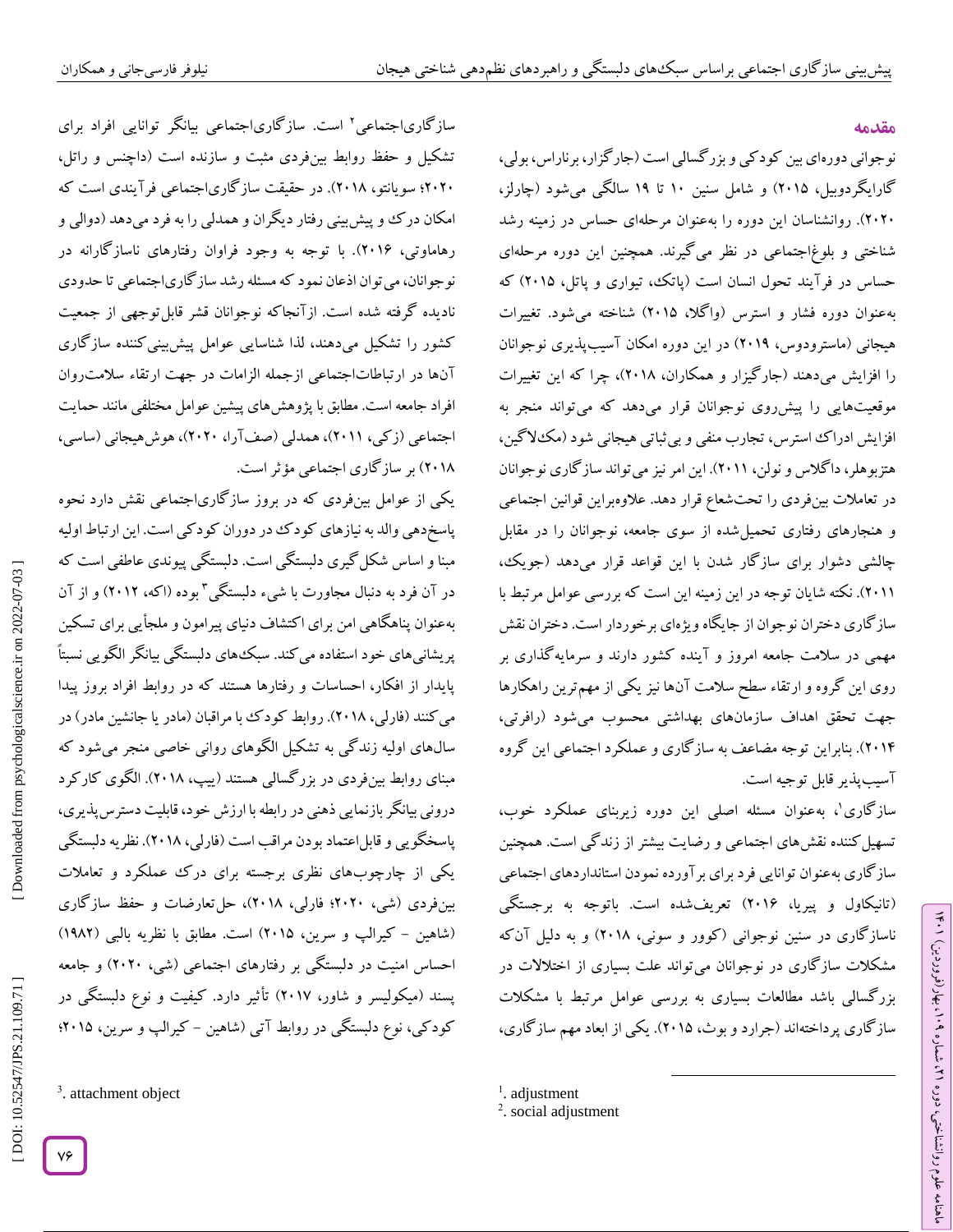## **مقدمه**

ラン

۹۰ (، بهار (فروردین)

، شماره 21

ماهنامه علوم روانشناختی، دوره

نوجوانی دورهای بین کودکی و بزرگسالی است )جارگزار، برناراس، بولی، گارایگردوبیل، 2417( و شامل سنین 14 تا 13 سالگی میشود )چارلز، 2424(. روانشناسان این دوره را بهعنوان مرحلهای حساس در زمینه رشد شناختی و بلوغاجتماعی در نظر میگیرند. همچنین این دوره مرحلهای حساس در فرآیند تحول انسان است )پاتک، تیواری و پاتل، 2417( که بهعنوان دوره فشار و استرس )واگال، 2417( شناخته میشود. تغییرات هیجانی )ماسترودوس، 2413( در این دوره امکان آسیبپذیری نوجوانان را افزایش میدهند )جارگیزار و همکاران، 2419(، چرا که این تغییرات موقعیتهایی را پیشروی نوجوانان قرار میدهد که میتواند منجر به افزایش ادراک استرس، تجارب منفی و بی ثباتی هیجانی شود (مک $\mathcal Y$ کین، هتزبوهلر، دا کلاس و نولن، ۲۰۱۱). این امر نیز می تواند ساز کاری نوجوانان در تعامالت بینفردی را تحتشعاع قرار دهد. عالوهبراین قوانین اجتماعی و هنجارهای رفتاری تحمیلشده از سوی جامعه، نوجوانان را در مقابل چالشی دشوار برای ساز کار شدن با این قواعد قرار میدهد (جویک، 2411(. نکته شایان توجه در این زمینه این است که بررسی عوامل مرتبط با سازگاری دختران نوجوان از جایگاه ویژهای برخوردار است. دختران نقش مهمی در سالمت جامعه امروز و آینده کشور دارند و سرمایهگذاری بر روی این گروه و ارتقاء سطح سالمت آنها نیز یکی از مهمترین راهکارها جهت تحقق اهداف سازمانهای بهداشتی محسوب میشود )رافرتی، 2410(. بنابراین توجه مضاعف به سازگاری و عملکرد اجتماعی این گروه آسیبپذیر قابل توجیه است.

سازگاری 1 ، بهعنوان مسئله اصلی این دوره زیربنای عملکرد خوب، تسهیل کننده نقش های اجتماعی و رضایت بیشتر از زندگی است. همچنین سازگاری بهعنوان توانایی فرد برای برآورده نمودن استانداردهای اجتماعی تانیکاول و پیریا، 2412( تعریفشده است. باتوجه به برجستگی ( ناسازگاری در سنین نوجوانی )کوور و سونی، 2419( و به دلیل آنکه مشکالت سازگاری در نوجوانان میتواند علت بسیاری از اختالالت در بزرگسالی باشد مطالعات بسیاری به بررسی عوامل مرتبط با مشکالت سازگاری پرداختهاند )جرارد و بوث، 2417(. یکی از ابعاد مهم سازگاری،

 $\overline{\phantom{a}}$ 

<sup>1</sup>. adjustment

سازگاری|جتماعی' است. سازگاری|جتماعی بیانگر توانایی افراد برای تشکیل و حفظ روابط بینفردی مثبت و سازنده است )داچنس و راتل، ۲۰۲۰؛ سویانتو، ۲۰۱۸). در حقیقت ساز کاریاجتماعی فرآیندی است که امکان درک و پیش بینی رفتار دیگران و همدلی را به فرد میدهد (دوالی و رهاماوتی، ۲۰۱۶). با توجه به وجود فراوان رفتارهای ناسازگارانه در نوجوانان، میتوان اذعان نمود که مسئله رشد سازگاریاجتماعی تا حدودی نادیده گرفته شده است. ازآنجاکه نوجوانان قشر قابلتوجهی از جمعیت کشور را تشکیل میدهند، لذا شناسایی عوامل پیشبینیکننده سازگاری آنها در ارتباطاتاجتماعی ازجمله الزامات در جهت ارتقاء سالمتروان افراد جامعه است. مطابق با پژوهشهای پیشین عوامل مختلفی مانند حمایت اجتماعی )زکی، 2411(، همدلی )صفآرا، 2424(، هوشهیجانی )ساسی، 2419( بر سازگاری اجتماعی مؤثر است.

یکی از عوامل بینفردی که در بروز سازگاریاجتماعی نقش دارد نحوه پاسخدهی والد به نیازهای کودک در دوران کودکی است. این ارتباط اولیه مبنا و اساس شکلگیری دلبستگی است. دلبستگی پیوندی عاطفی است که در آن فرد به دنبال مجاورت با شیء دلبستگی <sup>۳</sup>بوده (اکه، ۲۰۱۲) و از آن بهعنوان پناهگاهی امن برای اکتشاف دنیای پیرامون و ملجأیی برای تسکین پریشانیهای خود استفاده میکند. سبکهای دلبستگی بیانگر الگویی نسبتاً پایدار از افکار، احساسات و رفتارها هستند که در روابط افراد بروز پیدا<br>میکنند (فارلی، ۲۰۱۸). روابط کودک با مراقبان (مادر یا جانشین مادر) در که سالهای اولیه زندگی به تشکیل الگوهای روانی خاصی منجر میشود مبنای روابط بینفردی در بزرگسالی هستند )ییپ، 2419(. الگوی کارکرد درونی بیانگر بازنمایی ذهنی در رابطهبا ارزش خود، قابلیت دسترسپذیری، پاسخگویی و قابل اعتماد بودن مراقب است (فارلی، ۲۰۱۸). نظریه دلبستگی یکی از چارچوبهای نظری برجسته برای درک عملکرد و تعامالت بینفردی )شی، 2424؛ فارلی، 2419(، حلتعارضات و حفظ سازگاری (شاهین – کیرالپ و سرین، ۲۰۱۵) است. مطابق با نظریه بالبی (۱۹۸۲) احساس امنیت در دلبستگی بر رفتارهای اجتماعی )شی، 2424( و جامعه پسند )میکولیسر و شاور، 2415( تأثیر دارد. کیفیت و نوع دلبستگی در کودکی، نوع دلبستگی در روابط آتی (شاهین – کیرالپ و سرین، ۲۰۱۵؛

Downloaded from psychologicalscience.ir on 2022-07-03

<sup>3</sup>. attachment object

<sup>&</sup>lt;sup>2</sup>. social adjustment

 [<sup>\[</sup> DOI: 10.52547/JPS.21.109.71 \]](http://dx.doi.org/10.52547/JPS.21.109.71) [\[ Downloaded from psychologicalscience.i](https://psychologicalscience.ir/article-1-1325-fa.html)r on 2022-07-03 ] DOI: 10.52547/JPS.21.109.71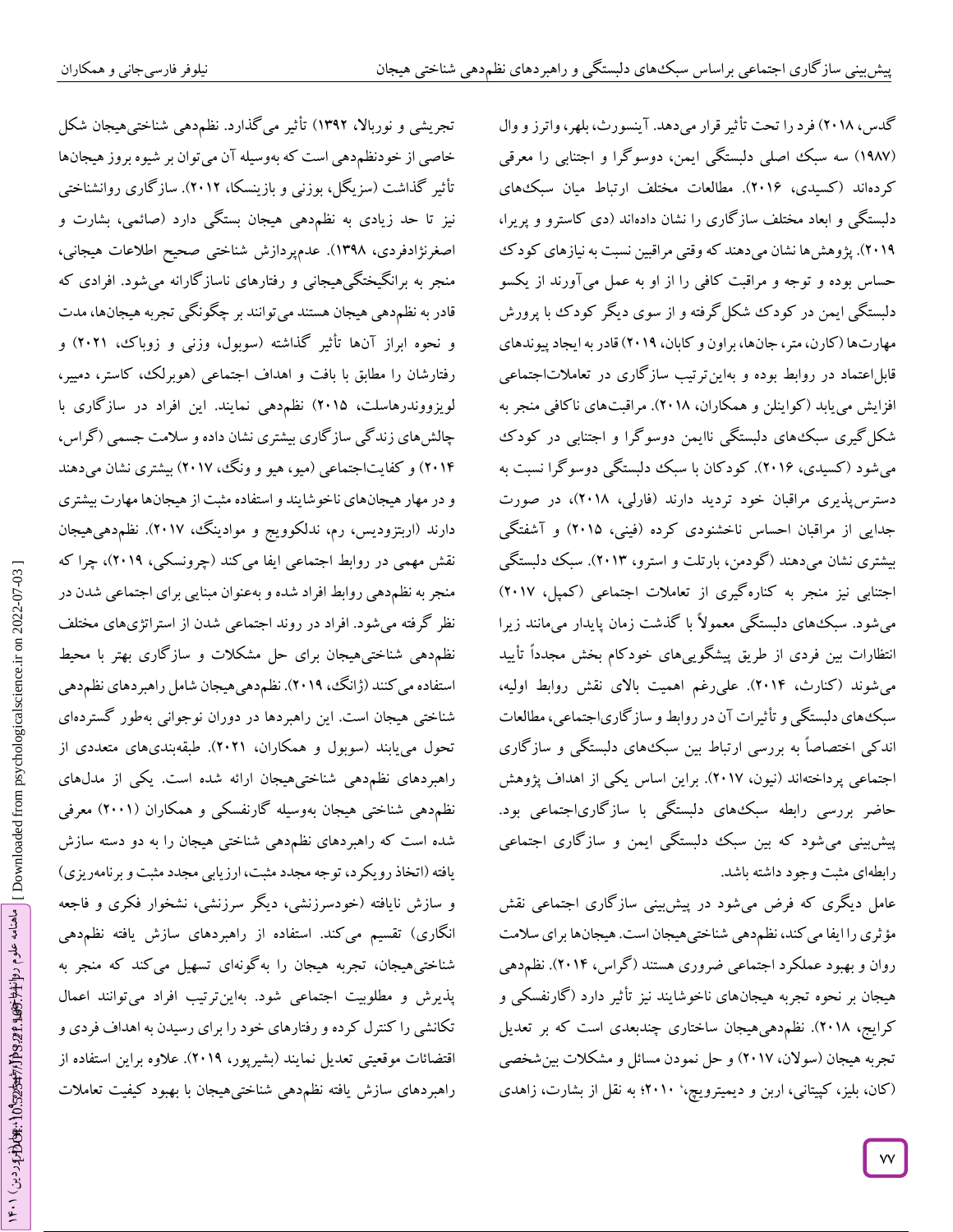تجریشی و نورباال، 1332( تأثیر میگذارد. نظمدهی شناختیهیجان شکل خاصی از خودنظمدهی است کهبهوسیلهآن میتوان بر شیوه بروزهیجانها تأثیر گذاشت (سزیگل، بوزنی و بازینسکا، ۲۰۱۲). سازگاری روانشناختی<br>نیز تا حد زیادی به نظم<هی هیجان بستگی دارد (صائمی، بشارت و اصغرنژادفردی، 1339(. عدمپردازش شناختی صحیح اطالعات هیجانی، منجر به برانگیختگیهیجانی و رفتارهای ناساز کارانه میشود. افرادی که قادر به نظم۵هی هیجان هستند میتوانند بر چگونگی تجربه هیجانها، مدت<br>و نحوه ابراز آنها تأثیر گذاشته (سوبول، وزنی و زوباک، ۲۰۲۱) و رفتارشان را مطابق با بافت و اهداف اجتماعی (هوبرلک، کاستر، دمییر، لویزووندرهاسلت، 2417( نظمدهی نمایند. این افراد در سازگاری با چالش،ای زندگی ساز کاری بیشتری نشان داده و سلامت جسمی (کراس، ۲۰۱۴) و کفایتاجتماعی (میو، هیو و ونگ، ۲۰۱۷) بیشتری نشان میدهند و در مهار هیجانهای ناخوشایند و استفاده مثبت از هیجانها مهارت بیشتری دارند (اربتزودیس، رم، ندلکوویج و موادینگ، ۲۰۱۷). نظم دهی هیجان نقش مهمی در روابط اجتماعی ایفا می کند (چرونسکی، ۲۰۱۹)، چرا که منجر به نظمدهی روابط افراد شده و بهعنوان مبنایی برای اجتماعی شدن در نظر گرفته میشود. افراد در روند اجتماعی شدن از استراتژیهای مختلف<br>نظم«هی شناختیهیجان برای حل مشکلات و سازگاری بهتر با محیط استفاده می کنند (ژانگ، ۲۰۱۹). نظم دهی هیجان شامل راهبردهای نظم دهی شناختی هیجان است. این راهبردها در دوران نوجوانی بهطور گستردهای تحول مییابند (سوبول و همکاران، ۲۰۲۱). طبقهبندیهای متعددی از راهبردهای نظمدهی شناختیهیجان ارائه شده است. یکی از مدلهای نظم،دهی شناختی هیجان بهوسیله کارنفسکی و همکاران (۲۰۰۱) معرفی شده است که راهبردهای نظمدهی شناختی هیجان را به دو دسته سازش یافته (اتخاذ رویکرد، توجه مجدد مثبت، ارزیابی مجدد مثبت و برنامهریزی) و سازش نایافته (خودسرزنشی، دیگر سرزنشی، نشخوار فکری و فاجعه انگاری) تقسیم میکند. استفاده از راهبردهای سازش یافته نظمدهی شناختیهیجان، تجربه هیجان را بهگونهای تسهیل می کند که منجر به مطلوبیت اجتماعی شود. بهاینترتیب افراد میتوانند اعمال پذیرش و تکانشی را کنترل کرده و رفتارهای خود را برای رسیدن به اهداف فردی و اقتضائات موقعیتی تعدیل نمایند (بشیرپور، ۲۰۱۹). علاوه براین استفاده از راهبردهای سازش یافته نظمدهی شناختیهیجان با بهبود کیفیت تعامالت کدس، ۲۰۱۸) فرد را تحت تأثیر قرار میدهد. آینسورث، بلهر، واترز و وال (۱۹۸۷) سه سبک اصلی دلبستگی ایمن، دوسوگرا و اجتنابی را معرقی کردهاند )کسیدی، 2412(. مطالعات مختلف ارتباط میان سبکهای دلبستگی و ابعاد مختلف ساز کاری را نشان دادهاند (دی کاسترو و پریرا، ۲۰۱۹). پژوهش ها نشان میدهند که وقتی مراقبین نسبت به نیازهای کودک حساس بوده و توجه و مراقبت کافی را از او به عمل میآورند از یکسو دلبستگی ایمن در کودک شکلگرفته و از سوی دیگر کودک با پرورش مهارتها )کارن، متر، جانها، براون و کابان، 2413( قادر به ایجاد پیوندهای قابلاعتماد در روابط بوده و بهاینترتیب سازگاری در تعامالتاجتماعی افزایش مییابد )کواینلن و همکاران، 2419(. مراقبتهای ناکافی منجر به شکلگیری سبکهای دلبستگی ناایمن دوسوگرا و اجتنابی در کودک میشود )کسیدی، 2412(. کودکان با سبک دلبستگی دوسوگرا نسبت به دسترسپذیری مراقبان خود تردید دارند )فارلی، 2419(، در صورت جدایی از مراقبان احساس ناخشنودی کرده (فینی، ۲۰۱۵) و آشفتگی بیشتری نشان میدهند )گودمن، بارتلت و استرو، 2413(. سبک دلبستگی اجتنابی نیز منجر به کنارهگیری از تعامالت اجتماعی )کمپل، 2415( میشود. سبک۵های دلبستگی معمولاً با گدشت زمان پایدار میمانند زیرا انتظارات بین فردی از طریق پیشگوییهای خودکام بخش مجدداً تأیید میشوند (کنارث، ۲۰۱۴). علیرغم اهمیت بالای نقش روابط اولیه، سبکهای دلبستگی و تأثیرات آن در روابط و سازگاریاجتماعی، مطالعات اندکی اختصاصاً به بررسی ارتباط بین سبکهای دلبستگی و سازگاری اجتماعی پرداختهاند )نیون، 2415(. براین اساس یکی از اهداف پژوهش حاضر بررسی رابطه سبکهای دلبستگی با سازگاریاجتماعی بود. پیشبینی میشود که بین سبک دلبستگی ایمن و سازگاری اجتماعی رابطهای مثبت وجود داشته باشد.

عامل دیگری که فرض میشود در پیشبینی سازگاری اجتماعی نقش مؤثری را ایفا می کند، نظم دهی شناختی هیجان است. هیجانها برای سلامت روان و بهبود عملکرد اجتماعی ضروری هستند )گراس، 2410(. نظمدهی هیجان بر نحوه تجربه هیجانهای ناخوشایند نیز تأثیر دارد )گارنفسکی و کرایج، ۲۰۱۸). نظم۵هی۵یجان ساختاری چندبعدی است که بر تعدیل تجربه هیجان (سولان، ۲۰۱۷) و حل نمودن مسائل و مشکلات بینشخصی (کان، بلیز، کپیتانی، اربن و دیمیترویچ،' ۲۰۱۰؛ به نقل از بشارت، زاهدی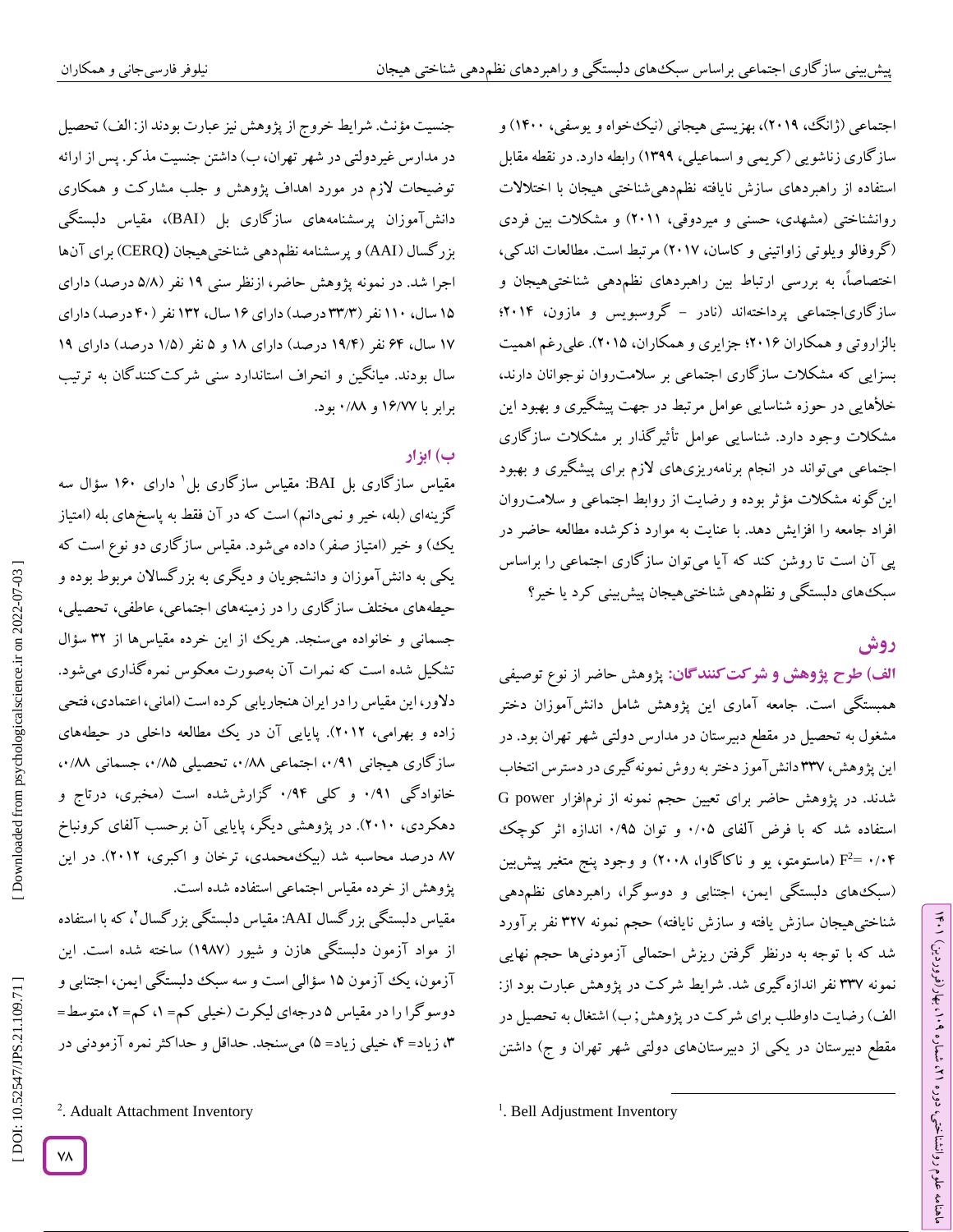اجتماعی (ژانگ، ۲۰۱۹)، بهزیستی هیجانی (نیکخواه و یوسفی، ۱۴۰۰) و ساز کاری زناشویی (کریمی و اسماعیلی، ۱۳۹۹) رابطه دارد. در نقطه مقابل استفاده از راهبردهای سازش نایافته نظمدهیشناختی هیجان با اختالالت روانشناختی (مشهدی، حسنی و میردوقی، ۲۰۱۱) و مشکلات بین فردی (کروفالو ویلوتی زاواتینی و کاسان، ۲۰۱۷) مرتبط است. مطالعات اندکی، اختصاصاً، به بررسی ارتباط بین راهبردهای نظم،دهی شناختیهیجان و<br>سازگاریاجتماعی پرداختهاند (نادر – گروسبویس و مازون، ۲۰۱۴؛ بالزاروتی و همکاران ۲۰۱۶؛ جزایری و همکاران، ۲۰۱۵). علیرغم اهمیت بسزایی که مشکلات سازگاری اجتماعی بر سلامت(وان نوجوانان دارند، خلاهایی در حوزه شناسایی عوامل مرتبط در جهت پیشگیری و بهبود این مشکالت وجود دارد. شناسایی عوامل تأثیرگذار بر مشکالت سازگاری اجتماعی میتواند در انجام برنامهریزیهای لازم برای پیشکیری و بهبود این کونه مشکلات مؤثر بوده و رضایت از روابط اجتماعی و سلامت روان ر افراد جامعه را افزایش دهد. با عنایت به موارد ذکرشده مطالعه حاضر د پی آن است تا روشن کند که آیا میتوان سازگاری اجتماعی را براساس سبکهای دلبستکی و نظم۵هی شناختیهیجان پیش بینی کرد یا خیر؟

# **روش**

الف) ط**رح پژوهش و شر کت کنند گان:** پژوهش حاضر از نوع توصیفی همبستگی است. جامعه آماری این پژوهش شامل دانشآموزان دختر مشغول به تحصیل در مقطع دبیرستان در مدارس دولتی شهر تهران بود. در این پژوهش، ۳۳۷ دانش آموز دختر به روش نمونهگیری در دسترس انتخاب شدند. در پژوهش حاضر برای تعیین حجم نمونه از نرمافزار power G ۰ و توان ۰/۹۵ اندازه اثر کوچک 2استفاده شد که با فرض آلفای ۰/۰۵ و توان ۰/۹۵ اندازه اثر کوچک<br>۰/۰۴ =F<sup>2</sup> (ماستومتو، یو و ناکاگاوا، ۲۰۰۸) و وجود پنج متغیر پیش<sub>ن</sub>ین هی )سبکهای دلبستگی ایمن، اجتنابی و دوسوگرا، راهبردهای نظمد شناختیهیجان سازش یافته و سازش نایافته) حجم نمونه ۳۲۷ نفر برآورد شد که با توجه به درنظر گرفتن ریزش احتمالی آزمودنیها حجم نهایی نمونه 335 نفر اندازهگیری شد. شرایط شرکت در پژوهش عبارت بود از: الف) رضایت داوطلب برای شرکت در پژوهش; ب) اشتغال به تحصیل در مقطع دبیرستان در یکی از دبیرستانهای دولتی شهر تهران و ج) داشتن

 $\overline{\phantom{a}}$ 

جنسیت مؤنث. شرایط خروج از پژوهش نیز عبارت بودند از: الف) تحصیل در مدارس غیردولتی در شهر تهران، ب) داشتن جنسیت مذکر. پس از ارائه توضیحات لازم در مورد اهداف پژوهش و جلب مشارکت و همکاری دانشآموزان پرسشنامههای سازگاری بل )BAI)، مقیاس دلبستگی CERQ )برای آنها بزرگسال )AAI )و پرسشنامه نظمدهی شناختیهیجان **)** اجرا شد. در نمونه پژوهش حاضر، ازنظر سنی ۱۹ نفر (۵/۸ درصد) دارای ۱۵ سال، ۱۱۰ نفر (۳۳/۳ درصد) دارای ۱۶ سال، ۱۳۲ نفر ( ۴۰ درصد) دارای ۱۷ سال، ۶۴ نفر (۱۹/۴ درصد) دارای ۱۸ و ۵ نفر (۱/۵ درصد) دارای ۱۹ سال بودند. میانگین و انحراف استاندارد سنی شرکتکنندگان به ترتیب برابر با ۱۶/۷۷ و ۸۸/۰ بود.

# **ب( ابزار**

مقیاس سازگاری بل BAI: مقیاس سازگاری بل 1 دارای 124 سؤال سه گزینهای (بله، خیر و نمیدانم) است که در آن فقط به پاسخهای بله (امتیاز یک) و خیر (امتیاز صفر) داده میشود. مقیاس سازگاری دو نوع است که یکی به دانشآموزان و دانشجویان و دیگری به بزرگساالن مربوط بوده و حیطههای مختلف سازگاری را در زمینههای اجتماعی، عاطفی، تحصیلی، جسمانی و خانواده میسنجد. هریک از این خرده مقیاسها از 32 سؤال تشکیل شده است که نمرات آن بهصورت معکوس نمرهگذاری میشود. دالور، این مقیاس را در ایران هنجاریابی کرده است )امانی، اعتمادی، فتحی زاده و بهرامی، 2412(. پایایی آن در یک مطالعه داخلی در حیطههای ساز کاری هیجانی ۰/۹۱، اجتماعی ۰/۸۸، تحصیلی ۰/۸۵، جسمانی ۰/۸۸، خانوادگی ۰/۹۱ و کلی ۰/۹۴ کزارششده است (مخبری، درتاج و دهکردی، 2414(. در پژوهشی دیگر، پایایی آن برحسب آلفای کرونباخ 95 درصد محاسبه شد )بیکمحمدی، ترخان و اکبری، 2412(. در این پژوهش از خرده مقیاس اجتماعی استفاده شده است. مقیاس دلبستگی بزرگسال AAI: مقیاس دلبستگی بزرگسال 2 ، که با استفاده

از مواد آزمون دلبستگی هازن و شیور )1395( ساخته شده است. این آزمون، یک آزمون ۱۵ سؤالی است و سه سبک دلبستگی ایمن، اجتنابی و دوسو کرا را در مقیاس ۵ درجهای لیکرت (خیلی کم= ۱، کم= ۲، متوسط= ۴، زیاد= ۴، خیلی زیاد= ۵) میسنجد. حداقل و حداکثر نمره آزمودنی در

YA

<sup>&</sup>lt;sup>1</sup>. Bell Adjustment Inventory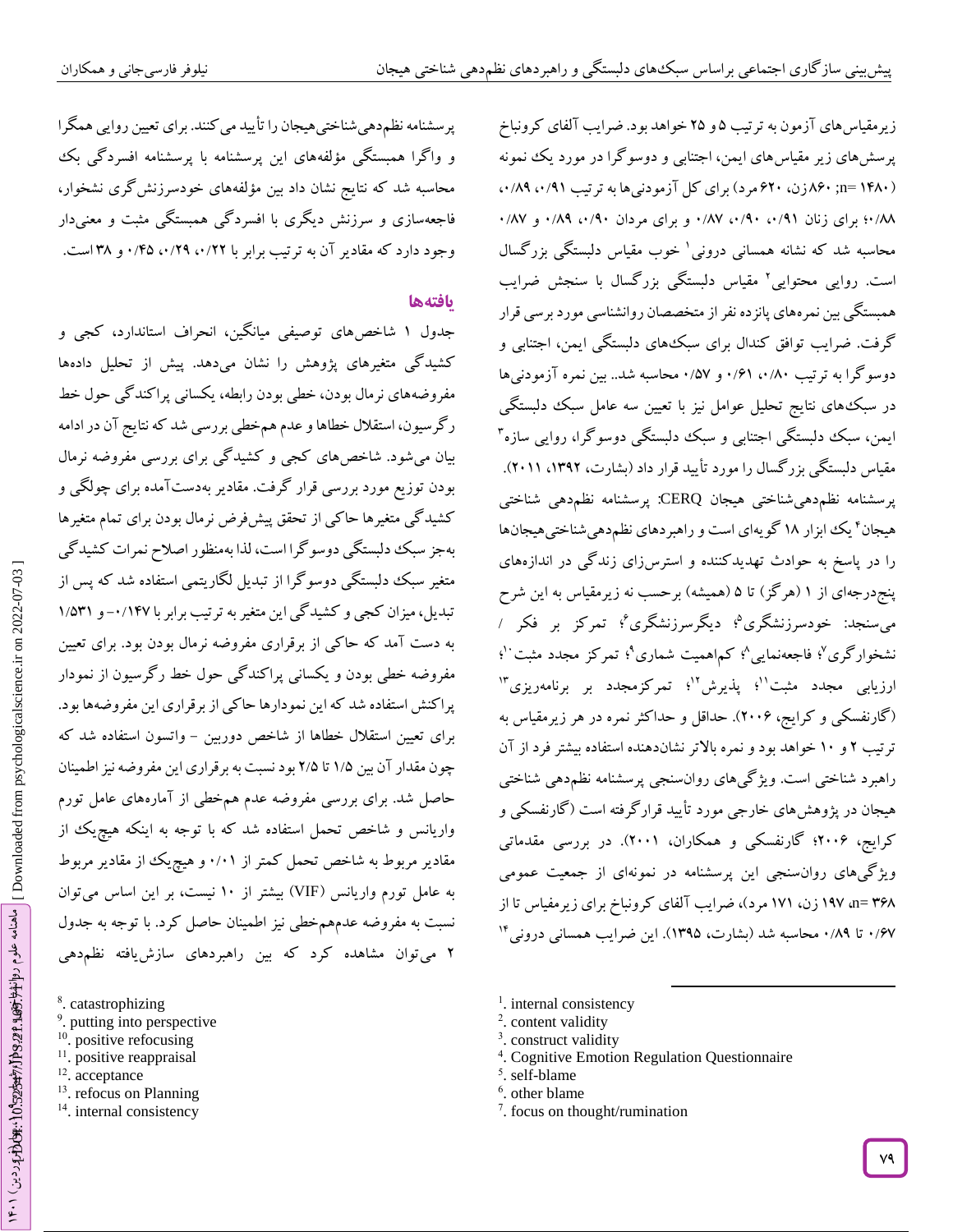زیرمقیاس های آزمون به ترتیب ۵و ۲۵ خواهد بود. ضرایب آلفای کرونباخ پرسشهای زیر مقیاسهای ایمن، اجتنابی و دوسوگرا در مورد یک نمونه

پرسشنامه نظم دهی شناختی هیجان را تأیید می کنند. برای تعیین روایی همگرا و واگرا همبستگی مؤلفههای این پرسشنامه با پرسشنامه افسردگی بک محاسبه شد که نتایج نشان داد بین مؤلفههای خودسرزنشگری نشخوار، دار فاجعهسازی و سرزنش دیگری با افسردگی همبستگی مثبت و معنی وجود دارد که مقادیر آن به ترتیب برابر با ۰/۲۲ (۰/۲۰ %۲۵/۰ و ۳۸ است.

## **یافتهها**

جدول ۱ شاخصهای توصیفی میانگین، انحراف استاندارد، کجی و کشیدگی متغیرهای پژوهش را نشان میدهد. پیش از تحلیل دادهها مفروضههای نرمال بودن، خطی بودن رابطه، یکسانی پراکندگی حول خط ر گرسیون، استقلال خطاها و عدم هم خطی بررسی شد که نتایج آن در ادامه بیان میشود. شاخصهای کجی و کشیدگی برای بررسی مفروضه نرمال بودن توزیع مورد بررسی قرار کرفت. مقادیر بهدست امده برای چولگی و کشیدگی متغیرها حاکی از تحقق پیشفرض نرمال بودن برای تمام متغیرها بهجز سبک دلبستگی دوسو کرا است، لذا بهمنظور اصلاح نمرات کشید کی متغیر سبک دلبستگی دوسوگرا از تبدیل لگاریتمی استفاده شد که پس از<br>تبدیل، میزان کجی و کشیدگی این متغیر به ترتیب برابر با ۰/۱۴۷ و ۱/۵۳۱ به دست آمد که حاکی از برقراری مفروضه نرمال بودن بود. برای تعیین مفروضه خطی بودن و یکسانی پراکندگی حول خط رگرسیون از نمودار پرا کنش استفاده شد که این نمودارها حاکی از برقراری این مفروضهها بود. برای تعیین استقلال خطاها از شاخص دوربین – واتسون استفاده شد که چون مقدار آن بین ۱/۵ تا ۲/۵ بود نسبت به برقراری این مفروضه نیز اطمینان حاصل شد. برای بررسی مفروضه عدم همخطی از آمارههای عامل تورم واریانس و شاخص تحمل استفاده شد که با توجه به اینکه هیچیک از مقادیر مربوط به شاخص تحمل کمتر از ۰/۰۱ و هیچ یک از مقادیر مربوط به عامل تورم واریانس (VIF) بیشتر از ۱۰ نیست، بر این اساس میتوان نسبت به مفروضه عدمهم خطی نیز اطمینان حاصل کرد. با توجه به جدول<br>۲ میتوان مشاهده کرد که بین راهبردهای سازش یافته نظم دهی (۱۴۸۰ =n; ۶۲۰زن، ۶۲۰ مرد) برای کل آزمودنیها به ترتیب ۰/۸۹، ۰/۸۹ ۰/۸۸ برای زنان ۰/۹۱، ۰/۹۰، ۰/۸۷ و برای مردان ۰/۹۰، ۰/۸۹ و ۰/۸۷ محاسبه شد که نشانه همسانی درونی 1 خوب مقیاس دلبستگی بزرگسال است. روایی محتوایی<sup>۲</sup> مقیاس دلبستگی بزرگسال با سنجش ضرایب همبستگی بین نمرههای پانزده نفر از متخصصان روانشناسی مورد برسی قرار گرفت. ضرایب توافق کندال برای سبکهای دلبستگی ایمن، اجتنابی و دوسوگرا به ترتیب ۰/۶۱،۰/۶۱ و ۰/۵۷ محاسبه شد.. بین نمره آزمودنیها در سبکهای نتایج تحلیل عوامل نیز با تعیین سه عامل سبک دلبستگی ایمن، سبک دلبستگی اجتنابی و سبک دلبستگی دوسوگرا، روایی سازه 3 مقیاس دلبستگی بزر کسال را مورد تایید قرار داد (بشارت، ۱۳۹۲، ۲۰۱۱). شناختی پرسشنامه نظمدهیشناختی هیجان CERQ: پرسشنامه نظمدهی هیجان ٔ یک ابزار ۱۸ گویهای است و راهبردهای نظم۵هیشناختیهیجانها را در پاسخ به حوادث تهدیدکننده و استرسزای زندگی در اندازههای پنجدرجهای از ۱ (هر کز) تا ۵ (همیشه) برحسب نه زیرمقیاس به این شرح میسنجد: خودسرزنشگری<sup>۵</sup>؛ دیگرسرزنشگری<sup>۶</sup>؛ تمرکز بر فکر / نشخوارگری<sup>۷</sup>؛ فاجعهنمایی<sup>۸</sup>؛ کم۱همیت شماری°؛ تمرکز مجدد مثبت '<sup>۱</sup>؛ ارزیابی مجدد مثبت<sup>۱۱</sup>؛ پذیرش<sup>۲</sup>'؛ تمرکزمجدد بر برنامهریزی <sup>۱۳</sup> )گارنفسکی و کرایج، 2442(. حداقل و حداکثر نمره در هر زیرمقیاس به ترتیب ۲ و ۱۰ خواهد بود و نمره بالاتر نشاندهنده استفاده بیشتر فرد از آن راهبرد شناختی است. ویژ کیهای روان $\;$ سنجی پرسشنامه نظم<code>دهی</code> شناختی هیجان در پژوهشهای خارجی مورد تأیید قرارگرفته است )گارنفسکی و کرایج، 2442؛ گارنفسکی و همکاران، 2441(. در بررسی مقدماتی ویژگیهای روانسنجی این پرسشنامه در نمونهای از جمعیت عمومی 329 =n، 135 زن، 151 مرد(، ضرایب آلفای کرونباخ برای زیرمفیاس تا از ۰/۶۷ تا ۰/۸۹ محاسبه شد (بشارت، ۱۳۹۵). این ضرایب همسانی درونی<sup>۱۴</sup>

- <sup>1</sup>. internal consistency
- <sup>2</sup>. content validity
- <sup>3</sup>. construct validity
- 4 . Cognitive Emotion Regulation Questionnaire

 $\overline{\phantom{a}}$ 

- 5 . self-blame
- 6 . other blame
- 7 . focus on thought/rumination
- [\[ DOI: 10.52547/JPS.21.109.71 \]](http://dx.doi.org/10.52547/JPS.21.109.71) [\[ Downloaded from psychologicalscience.i](https://psychologicalscience.ir/article-1-1325-fa.html)r on 2022-07-03 ] h۴۰۱ (بیون دور 1022-07-18) استانه علوم اس استانه علوم دوانغ باز استانه علوم استانه استانه استانه استان استان ا ماهنامه علوم روان<del>آ 14 ، 10</del>99 ، 129 ماهنامهار و 10 ، بهار(10 دین) ۱۴۰۱
	- . catastrophizing 9 . putting into perspective <sup>10</sup>. positive refocusing
		- <sup>11</sup>. positive reappraisal
		- <sup>12</sup>. acceptance
		- <sup>13</sup>. refocus on Planning
		- <sup>14</sup>. internal consistency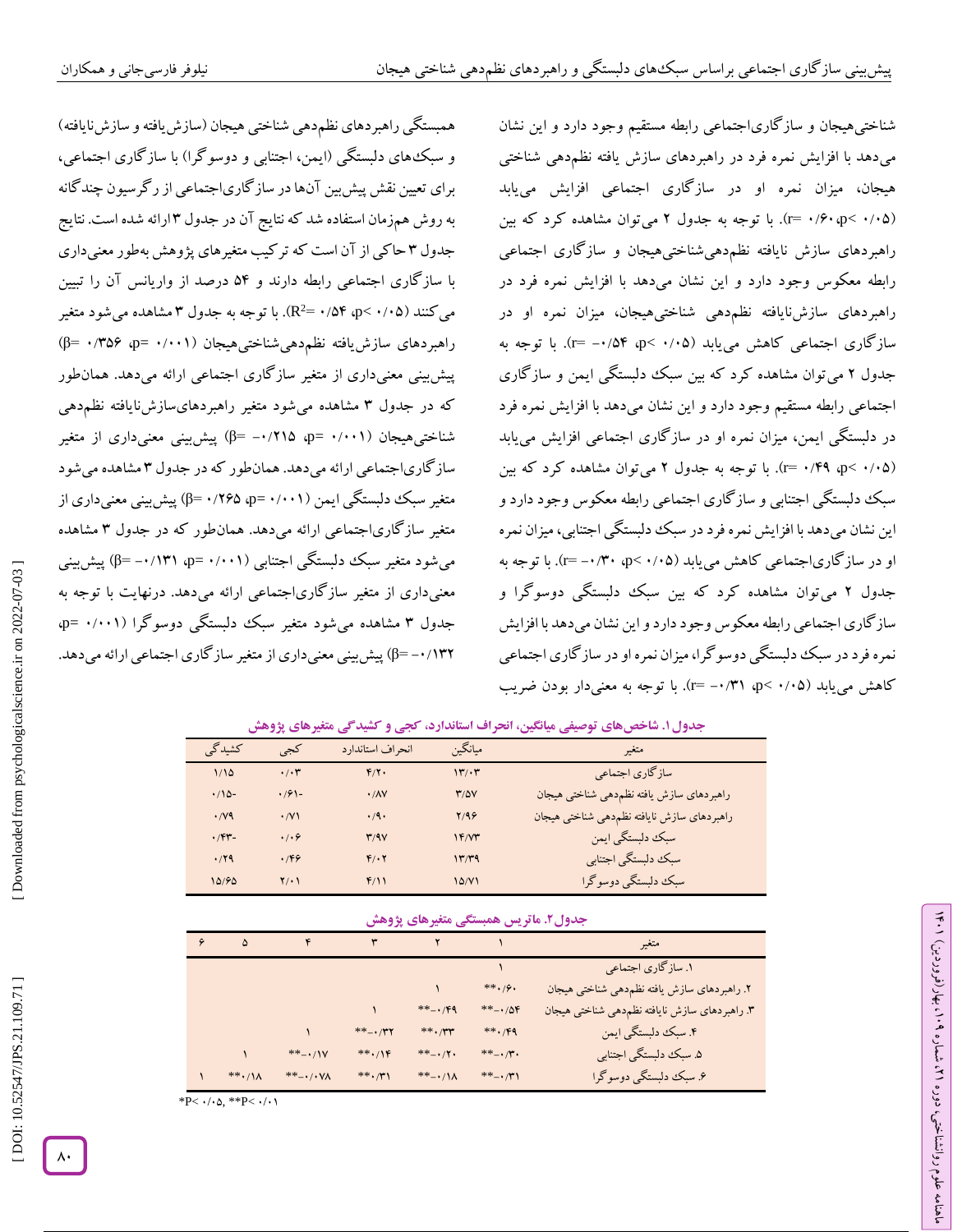همبستگی راهبردهای نظمدهی شناختی هیجان (سازش یافته و سازش نایافته) و سبک های دلبستگی (ایمن، اجتنابی و دوسوگرا) با سازگاری اجتماعی، برای تعیین نقش پیشبین آنها در سازگاریاجتماعی از رگرسیون چندگانه به روش همزمان استفاده شد که نتایج آن در جدول ۳ ارائه شده است. نتایج جدول ۳ حاکی از آن است که تر کیب متغیرهای پژوهش بهطور معنیداری 2با ساز کاری اجتماعی رابطه دارند و ۵۲ درصد از واریانس آن را تبیین<br>میکنند (p< ۰/۰۵ p> ۰/۵۴ -R<sup>2</sup>). با توجه به جدول ۳ مشاهده میشود متغیر راهبردهای سازش یافته نظم۵هیشناختیهیجان (β= ۰/۳۵۶ وβ=) پیش بینی معنیداری از متغیر سازگاری اجتماعی ارائه میدهد. همان $\det$ که در جدول ۳ مشاهده میشود متغیر راهبردهایسازشiیافته نظم۵هی شناختیهیجان (۰/۰۰۱ p= ۰/۲۱۵ φ=) پیشبینی معنیداری از متغیر ساز کاریاجتماعی ارائه میدهد. همانطور که در جدول ۳ مشاهده میشود متغیر سبک دلبستگی ایمن (۰۰۱۱× p=۰/۲۶۵ (۱۲۶۵) پیش بینی معنیداری از متغیر ساز کاریاجتماعی ارائه میدهد. همانطور که در جدول ۳ مشاهده میشود متغیر سبک دلبستگی اجتنابی (γ−۰/۱۳۱ p=۰/۱۳۱ پیش بینی معنیداری از متغیر ساز کاریاجتماعی ارائه میدهد. درنهایت با توجه به جدول ۳ مشاهده میشود متغیر سبک دلبستگی دوسوگرا (۰/۰۰۱ p=۰ ۱۳۲/ ۰– β) پیش بینی معنیداری از متغیر سازگاری اجتماعی ارائه میدهد.

شناختیهیجان و سازگاریاجتماعی رابطه مستقیم وجود دارد و این نشان میدهد با افزایش نمره فرد در راهبردهای سازش یافته نظمدهی شناختی هیجان، میزان نمره او در سازگاری اجتماعی افزایش مییابد (r= ۰/۶۰،p< ۰/۰۵). با توجه به جدول ۲ میتوان مشاهده کرد که بین راهبردهای سازش نایافته نظم‹هیشناختیهیجان و سازگاری اجتماعی رابطه معکوس وجود دارد و این نشان میدهد با افزایش نمره فرد در راهبردهای سازشiبافته نظم‹هی شناختیهیجان، میزان نمره او در سازگاری اجتماعی کاهش میbبابد (۰/۰۵ ×q- ۰/۵۴). با توجه به جدول ۲ می توان مشاهده کرد که بین سبک دلبستگی ایمن و سازگاری اجتماعی رابطه مستقیم وجود دارد و این نشان میدهد با افزایش نمره فرد در دلبستگی ایمن، میزان نمره او در سازگاری اجتماعی افزایش مییابد میتوان مشاهده کرد که بین . با توجه به جدول 2 ) r = 4 /03 ، p < 4 /47 ( سبک دلبستگی اجتنابی و سازگاری اجتماعی رابطه معکوس وجود دارد و این نشان میدهد با افزایش نمره فرد در سبک دلبستگی اجتنابی، میزان نمره او در سازگاری|جتماعی کاهش میLتابد (۰/۰۵× p< ۰/۳۰ –=r). با توجه به میتوان مشاهده کرد که بین سبک دلبستگی دوسوگرا و جدول 2 سازگاری اجتماعی رابطه معکوس وجود دارد و این نشان میدهد با افزایش نمره فرد در سبک دلبستگی دوسوگرا، میزان نمره او در سازگاری اجتماعی کاهش میLیابد (۰/۰۵ ×۰٫۱ cp). با توجه به معنیدار بودن ضریب

ラン

۹۰ (، بهار (فروردین)

، شماره 21

ماهنامه علوم روانشناختی، دوره

## **کشیدگی متغیرهای پژوهش . شاخصهای توصیفی میانگین، انحراف استاندارد، کجی و جدول1**

| كشيدگى             | کجی                | انحراف استاندارد          | ميانگين      | متغير                                       |
|--------------------|--------------------|---------------------------|--------------|---------------------------------------------|
| 1/10               | $\cdot/\cdot \tau$ | $F/Y$ .                   | 17.7         | سازگاري اجتماعي                             |
| $.710 -$           | $.791 -$           | $\cdot$ / $\wedge$ $\vee$ | $T/\Delta V$ | راهبردهاى سازش يافته نظم دهي شناختي هيجان   |
| $\cdot$ / $\vee$ 9 | $\cdot$ /V)        | $\cdot$ /9.               | 7/98         | راهبردهاى سازش نايافته نظم دهي شناختي هيجان |
| .794               | .1.9               | Y/9V                      | Y'Y'         | سبک دلبستگی ایمن                            |
| .79                | .199               | $F/\cdot Y$               | 17779        | سبك دلبستگي اجتنابي                         |
| 10/90              | $Y/\cdot$          | F/11                      | 10/Y1        | سبک دلبستگي دوسوگرا                         |

## **. ماتریس همبستگی متغیرهای پژوهش جدول2**

| ۵                 |                                     |            |                        |                | متغير                                          |
|-------------------|-------------------------------------|------------|------------------------|----------------|------------------------------------------------|
|                   |                                     |            |                        |                | ۱. سازگاری اجتماعی                             |
|                   |                                     |            |                        | $***.99.$      | ۲. راهبردهای سازش یافته نظم دهی شناختی هیجان   |
|                   |                                     |            | $** - 14$              | $** - 10F$     | ۳. راهبردهای سازش نایافته نظم دهی شناختی هیجان |
|                   |                                     | $** -$     | $**$ ./**              | $***.$ /F9     | ۴. سبک دلبستگی ایمن                            |
|                   | $** - 11V$                          | $***.1$    | $***$ - $*/$ Y .       | $** - \cdot 7$ | ۵. سبک دلبستگی اجتنابی                         |
| $**$ ./ $\Lambda$ | $** - \cdot / \cdot \sqrt{\Lambda}$ | $***$ $,Y$ | $** - \cdot / \Lambda$ | $** - 1$       | ۶ سبک دلبستگی دوسوگرا                          |

\*P<  $\cdot/\cdot$  . \*\*P<  $\cdot/\cdot$  \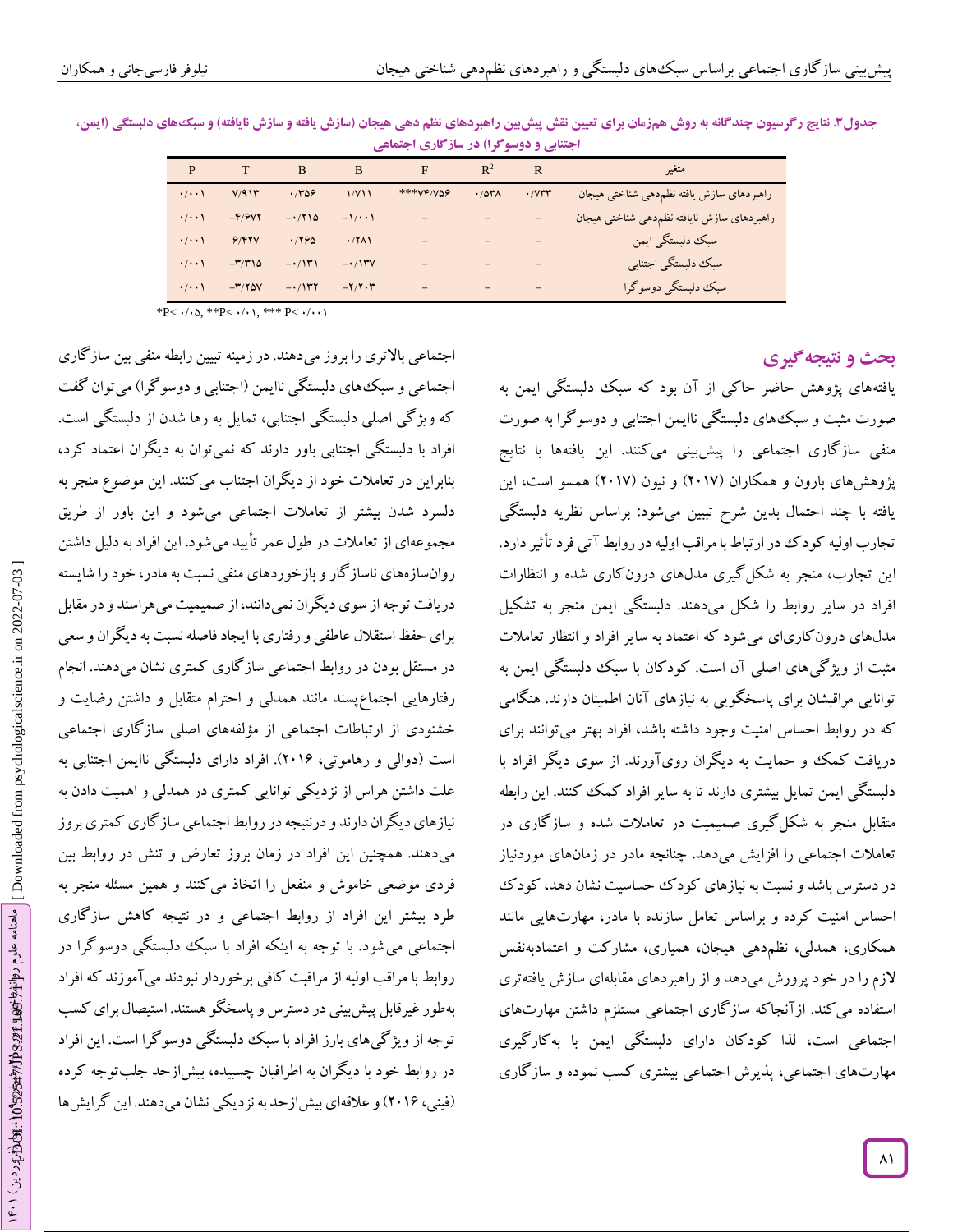| ۰۰ میلی را در سر این ادر سر ادری ایساسی |                             |                     |                    |                   |                |                     |                                             |  |  |
|-----------------------------------------|-----------------------------|---------------------|--------------------|-------------------|----------------|---------------------|---------------------------------------------|--|--|
| P                                       |                             | B                   | B                  | F                 | $\mathbb{R}^2$ | $\mathbf R$         | متغىر                                       |  |  |
| $\cdot$ / $\cdot$                       | V/91                        | .789                | 1/Y11              | *** VF/VQ9        | .707A          | $\cdot$ / $V^{\mu}$ | راهبردهاى سازش يافته نظم دهي شناختي هيجان   |  |  |
| $\cdot$ / $\cdot$                       | $-F/YVY$                    | $-1710$             | $-1/\cdot \cdot 1$ |                   |                | $\qquad \qquad =$   | راهبردهاي سازش نايافته نظم دهي شناختي هيجان |  |  |
| $\cdot/\cdot\cdot$                      | 9/97V                       | .1790               | .77                |                   |                | $\qquad \qquad -$   | سبک دلبستگی ایمن                            |  |  |
| $\cdot$ / $\cdot$                       | $-\mathbf{r}/\mathbf{r}$ 14 | $-\cdot/(\Upsilon)$ | $-11$              |                   |                |                     | سبك دلبستكي اجتنابي                         |  |  |
| $\cdot$ / $\cdot$                       | $-\mathbf{r}/\mathbf{r}$ av | $-1$                | $-Y/Y \cdot Y$     | $\qquad \qquad -$ |                | $\qquad \qquad -$   | سبک دلبستگی دوسوگرا                         |  |  |

جدول**3 نتایج رگرسیون چندگانه به روش همزمان برای تعیین نقش پیش بین راهبردهای نظم دهی هیجان (سازش یافته و سازش نایافته) و سبکهای دلبستگی (ایمن،** متغیر <sup>R</sup> **اجتنابی و دوسوگرا( در سازگاری اجتماعی**

\*P<  $\cdot/\cdot$   $\circ$ , \*\*P<  $\cdot/\cdot$   $\cdot$ , \*\*\* P<  $\cdot/\cdot \cdot$ 

اجتماعی باالتری را بروزمیدهند. در زمینه تبیین رابطه منفی بین سازگاری

**ی نتیجهگیر بحث و**

یافتههای پژوهش حاضر حاکی از آن بود که سبک دلبستگی ایمن به صورت مثبت و سبکهای دلبستگی ناایمن اجتنابی و دوسوگرا به صورت منفی سازگاری اجتماعی را پیشبینی میکنند. این یافتهها با نتایج پژوهشهای بارون و همکاران (۲۰۱۷) و نیون (۲۰۱۷) همسو است، این یافته با چند احتمال بدین شرح تبیین میشود: براساس نظریه دلبستگی تجارب اولیه کودک در ارتباط با مراقب اولیه در روابط آتی فرد تأثیر دارد. این تجارب، منجر به شکلگیری مدلهای درونکاری شده و انتظارات افراد در سایر روابط را شکل میدهند. دلبستگی ایمن منجر به تشکیل مدلهای درونکاریای میشود که اعتماد به سایر افراد و انتظار تعامالت مثبت از ویژگیهای اصلی آن است. کودکان با سبک دلبستگی ایمن به توانایی مراقبشان برای پاسخگویی به نیازهای آنان اطمینان دارند. هنگامی که در روابط احساس امنیت وجود داشته باشد، افراد بهتر میتوانند برای دریافت کمک و حمایت به دیگران رویآورند. از سوی دیگر افراد با دلبستگی ایمن تمایل بیشتری دارند تا به سایر افراد کمک کنند. این رابطه متقابل منجر به شکلگیری صمیمیت در تعامالت شده و سازگاری در تعامالت اجتماعی را افزایش میدهد. چنانچه مادر در زمانهای موردنیاز در دسترس باشد و نسبت به نیازهای کود ک حساسیت نشان دهد، کودک احساس امنیت کرده و براساس تعامل سازنده با مادر، مهارتهایی مانند همکاری، همدلی، نظمدهی هیجان، همیاری، مشارکت و اعتمادبهنفس لازم را در خود پرورش میدهد و از راهبردهای مقابلهای سازش یافتهتری استفاده میکند. ازآنجاکه سازگاری اجتماعی مستلزم داشتن مهارتهای اجتماعی است، لذا کودکان دارای دلبستگی ایمن با بهکارگیری مهارتهای اجتماعی، پدیرش اجتماعی بیشتری کسب نموده و ساز کاری

اجتماعی و سبکهای دلبستگی ناایمن )اجتنابی و دوسوگرا( میتوان گفت که ویژگی اصلی دلبستگی اجتنابی، تمایل به رها شدن از دلبستگی است. افراد با دلبستگی اجتنابی باور دارند که نمیتوان به دیگران اعتماد کرد، بنابراین در تعامالت خود از دیگران اجتناب میکنند. این موضوع منجر به دلسرد شدن بیشتر از تعامالت اجتماعی میشود و این باور از طریق مجموعهای از تعامالت در طول عمر تأیید میشود. این افراد به دلیل داشتن روانسازههای ناسازگار و بازخوردهای منفی نسبت به مادر، خود را شایسته دریافت توجه از سوی دیگران نمیدانند، از صمیمیت میهراسند و در مقابل برای حفظ استقالل عاطفی و رفتاری با ایجاد فاصله نسبت به دیگران و سعی در مستقل بودن در روابط اجتماعی سازگاری کمتری نشان میدهند. انجام رفتارهایی اجتماعپسند مانند همدلی و احترام متقابل و داشتن رضایت و خشنودی از ارتباطات اجتماعی از مؤلفههای اصلی سازگاری اجتماعی است )دوالی و رهاموتی، 2412(. افراد دارای دلبستگی ناایمن اجتنابی به علت داشتن هراس از نزدیکی توانایی کمتری در همدلی و اهمیت دادن به نیازهای دیگران دارند و درنتیجه در روابط اجتماعی سازگاری کمتری بروز میدهند. همچنین این افراد در زمان بروز تعارض و تنش در روابط بین فردی موضعی خاموش و منفعل را اتخاذ میکنند و همین مسئله منجر به طرد بیشتر این افراد از روابط اجتماعی و در نتیجه کاهش سازگاری اجتماعی میشود. با توجه به اینکه افراد با سبک دلبستگی دوسوگرا در روابط با مراقب اولیه از مراقبت کافی برخوردار نبودند میآموزند که افراد بهطور غیرقابل پیشبینی در دسترس و پاسخگو هستند. استیصال برای کسب توجه از ویژ کیهای بارز افراد با سبک دلبستگی دوسو گرا است. این افراد در روابط خود با دیگران به اطرافیان چسبیده، بیشازحد جلبتوجه کرده )فینی، 2412( و عالقهای بیشازحد به نزدیکی نشان میدهند. این گرایشها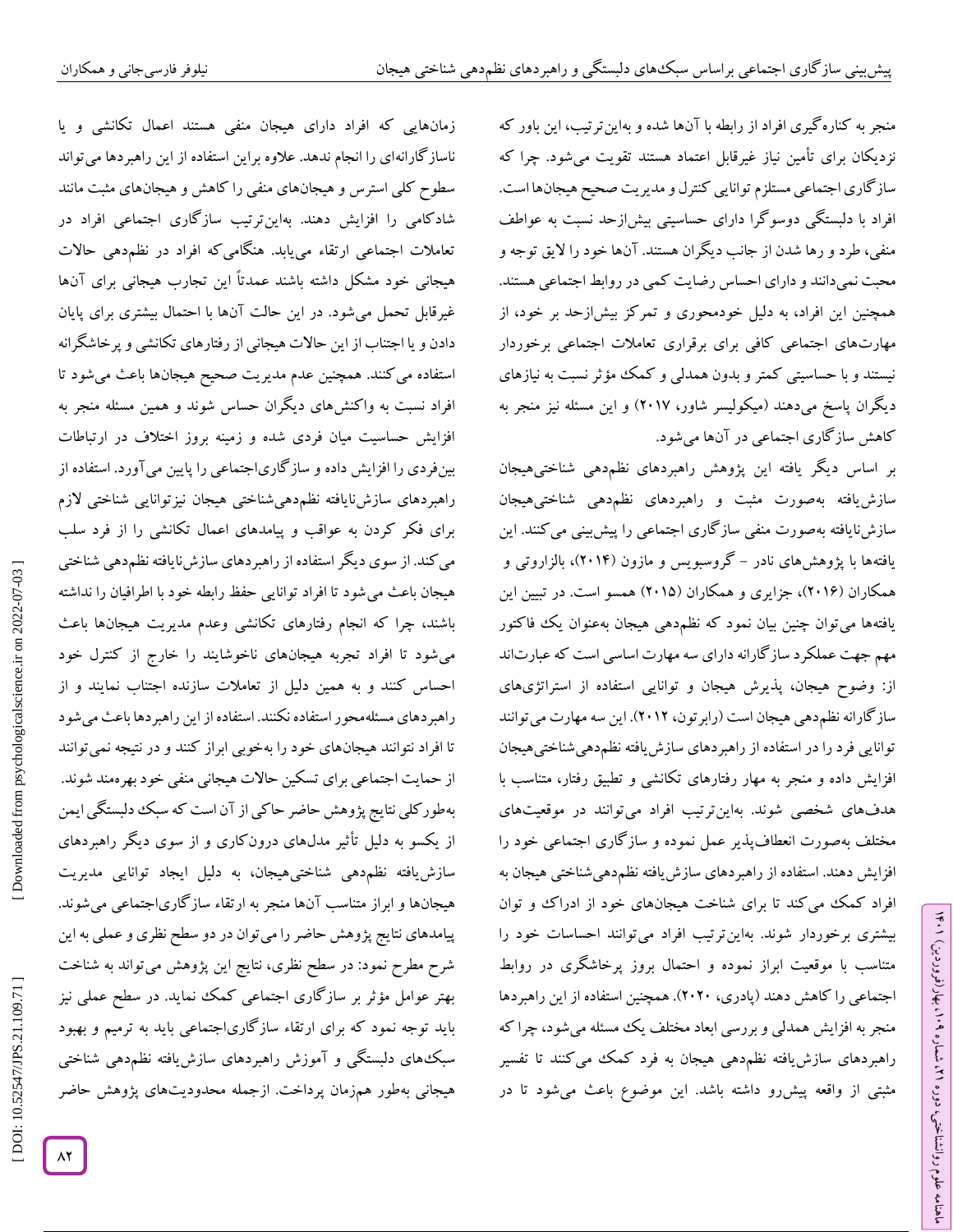منجر به کنارهگیری افراد از رابطه با آنها شده و بهاینترتیب، این باور که نزدیکان برای تأمین نیاز غیرقابل اعتماد هستند تقویت میشود. چرا که سازگاری اجتماعی مستلزم توانایی کنترل و مدیریت صحیح هیجانها است. افراد با دلبستگی دوسوگرا دارای حساسیتی بیشازحد نسبت به عواطف منفی، طرد و رها شدن از جانب دیگران هستند. آنها خود را الیق توجه و محبت نمیدانند و دارای احساس رضایت کمی در روابط اجتماعی هستند. همچنین این افراد، به دلیل خودمحوری و تمرکز بیشازحد بر خود، از مهارتهای اجتماعی کافی برای برقراری تعامالت اجتماعی برخوردار نیستند و با حساسیتی کمتر و بدون همدلی و کمک مؤثر نسبت به نیازهای دیگران پاسخ میدهند )میکولیسر شاور، 2415( و این مسئله نیز منجر به کاهش سازگاری اجتماعی در آنها میشود.

بر اساس دیگر یافته این پژوهش راهبردهای نظم۵هی شناختیهیجان سازش یافته بهصورت مثبت و راهبردهای نظم دهی شناختی،هیجان سازشنایافته بهصورت منفی سازگاری اجتماعی را پیشربینی می کنند. این<br>یافتهها با پژوهشهای نادر – گروسبویس و مازون (۲۰۱۴)، بالزاروتی و همکاران (۲۰۱۶)، جزایری و همکاران (۲۰۱۵) همسو است. در تبیین این یافتهها می توان چنین بیان نمود که نظم۵هی هیجان بهعنوان یک فاکتور مهم جهت عملکرد سازگارانه دارای سه مهارت اساسی است که عبارتاند از: وضوح هیجان، پذیرش هیجان و توانایی استفاده از استراتژیهای سازگارانه نظمدهی هیجان است )رابرتون، 2412(. این سه مهارت میتوانند توانایی فرد را در استفاده از راهبردهای سازش یافته نظمدهی شناختی هیجان افزایش داده و منجر به مهار رفتارهای تکانشی و تطبیق رفتار، متناسب با هدفهای شخصی شوند. بهاینترتیب افراد میتوانند در موقعیتهای مختلف بهصورت انعطافپذیر عمل نموده و سازگاری اجتماعی خود را افزایش دهند. استفاده از راهبردهای سازش یافته نظمدهی شناختی هیجان به افراد کمک می کند تا برای شناخت هیجانهای خود از ادراک و توان بیشتری برخوردار شوند. بهاینترتیب افراد میتوانند احساسات خود را متناسب با موقعیت ابراز نموده و احتمال بروز پرخاشگری در روابط اجتماعی را کاهش دهند )پادری، 2424(. همچنین استفاده از این راهبردها منجر به افزایش همدلی و بررسی ابعاد مختلف یک مسئله میشود، چرا که راهبردهای سازشیافته نظمدهی هیجان به فرد کمک میکنند تا تفسیر مثبتی از واقعه پیشرو داشته باشد. این موضوع باعث میشود تا در

ラン

۹۰ (، بهار (فروردین)

، شماره 21

ماهنامه علوم روانشناختی، دوره

زمانهایی که افراد دارای هیجان منفی هستند اعمال تکانشی و یا ناسازگارانهای را انجام ندهد. عالوه براین استفاده از این راهبردها میتواند سطوح کلی استرس و هیجانهای منفی را کاهش و هیجانهای مثبت مانند شادکامی را افزایش دهند. بهاینترتیب سازگاری اجتماعی افراد در تعامالت اجتماعی ارتقاء مییابد. هنگامیکه افراد در نظمدهی حاالت هیجانی خود مشکل داشته باشند عمدتاً این تجارب هیجانی برای آنها غیرقابل تحمل میشود. در این حالت آنها با احتمال بیشتری برای پایان دادن و یا اجتناب از این حالات هیجانی از رفتارهای تکانشی و پرخاشگرانه استفاده میکنند. همچنین عدم مدیریت صحیح هیجانها باعث میشود تا افراد نسبت به واکنشهای دیگران حساس شوند و همین مسئله منجر به افزایش حساسیت میان فردی شده و زمینه بروز اختالف در ارتباطات بینفردی را افزایش داده و سازگاریاجتماعی را پایین میآورد. استفاده از راهبردهای سازشiایافته نظم۵هیشناختی هیجان نیزتوانایی شناختی لازم برای فکر کردن به عواقب و پیامدهای اعمال تکانشی را از فرد سلب می کند. از سوی دیگر استفاده از راهبردهای سازشiبافته نظم دهی شناختی هیجان باعث میشود تا افراد توانایی حفظ رابطه خود با اطرافیان را نداشته باشند، چرا که انجام رفتارهای تکانشی وعدم مدیریت هیجانها باعث میشود تا افراد تجربه هیجانهای ناخوشایند را خارج از کنترل خود احساس کنند و به همین دلیل از تعامالت سازنده اجتناب نمایند و از راهبردهای مسئلهمحور استفاده نکنند. استفاده از این راهبردها باعث میشود تا افراد نتوانند هیجانهای خود را بهخوبی ابراز کنند و در نتیجه نمیتوانند از حمایت اجتماعی برای تسکین حاالت هیجانی منفی خود بهرهمند شوند. بهطورکلی نتایج پژوهش حاضر حاکی از آن است که سبک دلبستگی ایمن از یکسو به دلیل تأثیر مدلهای درونکاری و از سوی دیگر راهبردهای سازش یافته نظم۵هی شناختیهیجان، به دلیل ایجاد توانایی مدیریت هیجانها و ابراز متناسب آنها منجر به ارتقاء سازگاریاجتماعی میشوند. پیامدهای نتایج پژوهش حاضر را میتوان در دو سطح نظری و عملی به این شرح مطرح نمود: در سطح نظری، نتایج این پژوهش میتواند به شناخت بهتر عوامل مؤثر بر سازگاری اجتماعی کمک نماید. در سطح عملی نیز باید توجه نمود که برای ارتقاء سازگاریاجتماعی باید به ترمیم و بهبود سبکهای دلبستکی و آموزش راهبردهای سازش یافته نظمٖدهی شناختی هیجانی بهطور همزمان پرداخت. ازجمله محدودیتهای پژوهش حاضر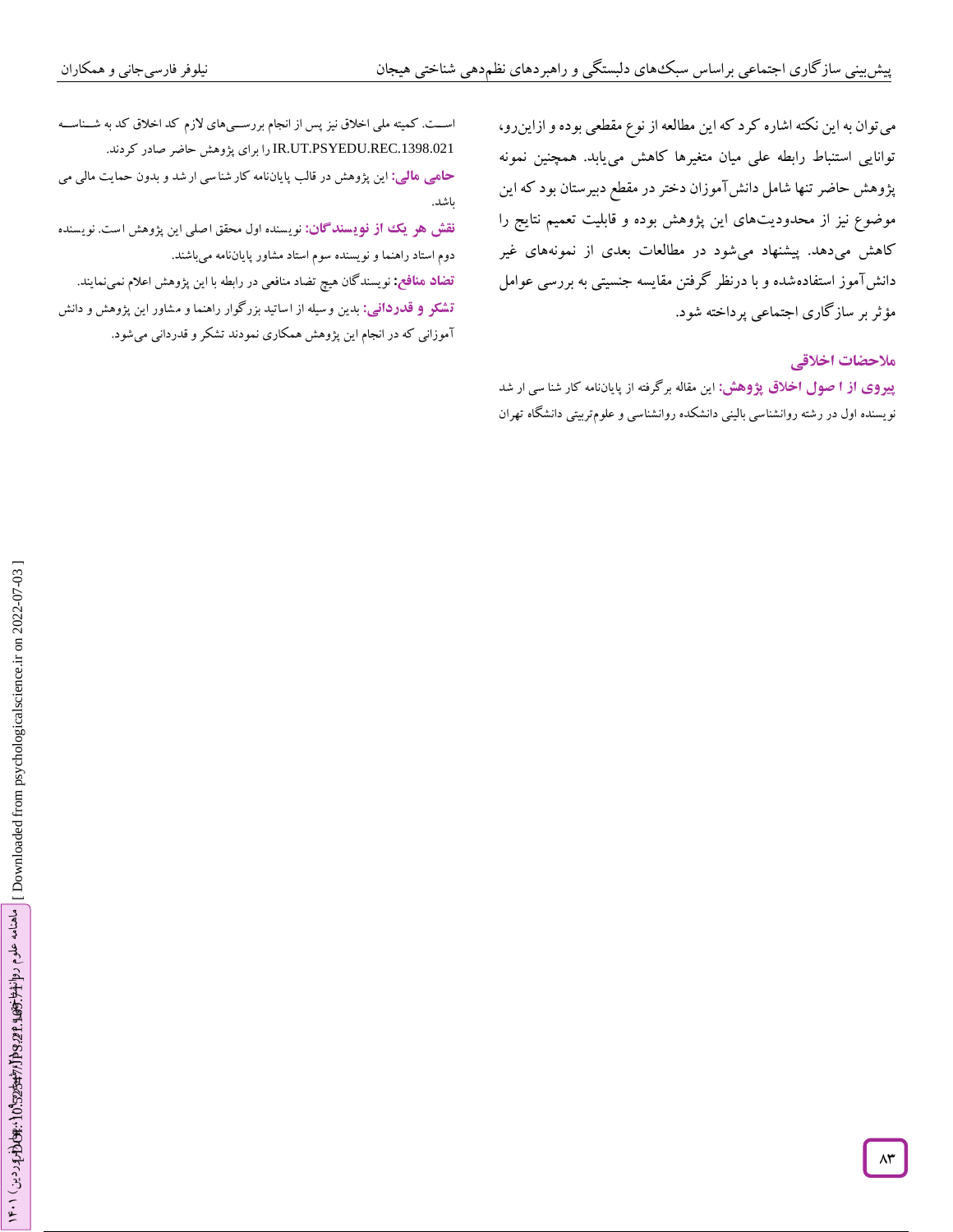می توان به این نکته اشاره کرد که این مطالعه از نوع مقطعی بوده و ازاینرو، توانایی استنباط رابطه علی میان متغیرها کاهش مییابد. همچنین نمونه پژوهش حاضر تنها شامل دانشآموزان دختر در مقطع دبیرستان بود که این موضوع نیز از محدودیتهای این پژوهش بوده و قابلیت تعمیم نتایج را کاهش میدهد. پیشنهاد میشود در مطالعات بعدی از نمونههای غیر دانشآموز استفادهشده و با درنظر گرفتن مقایسه جنسیتی به بررسی عوامل مؤثر بر سازگاری اجتماعی پرداخته شود.<br>هل<del>احضات اخلاق</del>ی

**پیروی از آ صول اخلاق پژوهش: ا**ین مقاله برگرفته از پایاننامه کار شنا سی ار شد نویسنده اول در رشته روانشناسی بالینی دانشکده روانشناسی و علوم تربیتی دانشگاه تهران

اســت. کمیته ملی اخلاق نیز پس از انجام بررســـیهای لازم کد اخلاق کد به شــناســه .1398.021REC.PSYEDU.UT.IR را برای پژوهش حاضر صادر کردند.

بدون حمایت مالی می این پژوهش در قالب پایاننامه کار شنا سی ار شد و **: مالی حامی** باشد.

نوی سنده اول محقق ا صلی این پژوهش ا ست . نوی سنده **سندگان : از نوی تضاد منافع:** نویسندگان هیچ تضاد منافعی در رابطه با این پژوهش اعالم نمینمایند. دوم استاد راهنما ونویسنده سوم استاد مشاور پایاننامه میباشند. **نقش هر یک**

بدین و سیله از اساتید بزرگوار راهنما و م شاور این پژوهش و دانش **: قدردانی ت شکر و** آموزانی که در انجام این پژوهش همکاری نمودند تشکر و قدردانی میشود.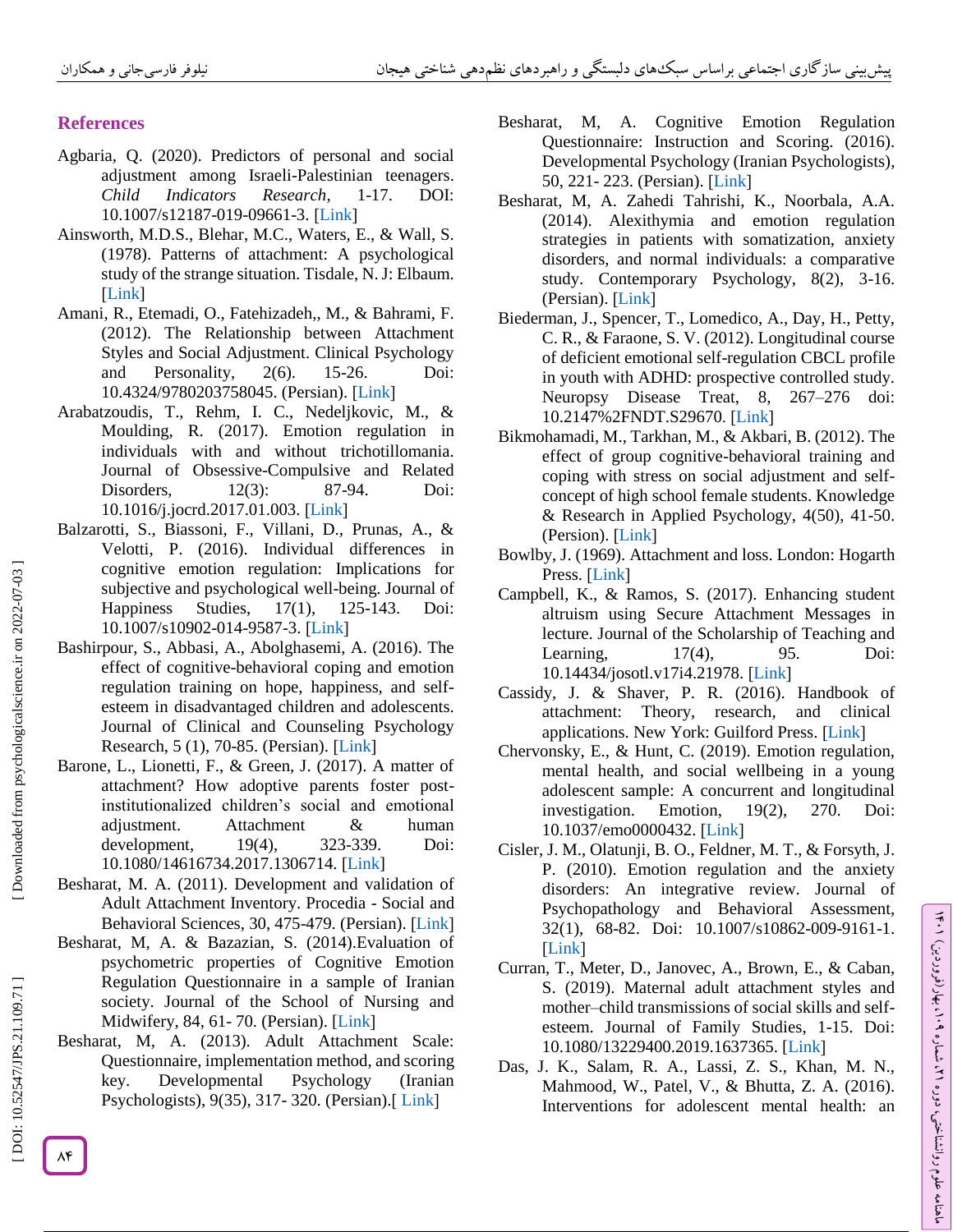# **References**

- Agbaria, Q. (2020). Predictors of personal and social adjustment among Israeli -Palestinian teenagers. *Child Indicators Research*, 1 DOI: 10.1007/s12187-019-09661-3. [Link]
- Ainsworth, M.D.S., Blehar, M.C., Waters, E., & Wall, S. (1978). Patterns of attachment: A psychological study of the strange situation. Tisdale, N. J: Elbaum. [Link]
- Amani, R., Etemadi, O., Fatehizadeh,, M., & Bahrami, F. (2012). The Relationship between Attachment Styles and Social Adjustment. Clinical Psychology and Personality, 2(6). 15-26. Doi: [10.4324/9780203758045.](https://doi.org/10.4324/9780203758045)(Persian). [Link]
- Arabatzoudis, T., Rehm, I. C., Nedeljkovic, M., & Moulding, R. (2017). Emotion regulation in individuals with and without trichotillomania. Journal of Obsessive -Compulsive and Related Disorders, 12(3): 87-94. Doi: 10.1016/j.jocrd.2017.01.003.[Link]
- Balzarotti, S., Biassoni, F., Villani, D., Prunas, A., & Velotti, P. (2016). Individual differences in cognitive emotion regulation: Implications for subjective and psychological well -being. Journal of Happiness Studies,  $17(1)$ , 125-143. Doi: 10.1007/s10902-014-9587-3. [Link]
- Bashirpour, S., Abbasi, A., Abolghasemi, A. (2016). The effect of cognitive -behavioral coping and emotion regulation training on hope, happiness, and self esteem in disadvantaged children and adolescents. Journal of Clinical and Counseling Psychology Research,5 (1), 70-85. (Persian). [Link]
- Barone, L., Lionetti, F., & Green, J. (2017). A matter of attachment? How adoptive parents foster post institutionalized children's social and emotional adjustment. Attachment & human  $development,$   $19(4),$ -339. Doi: 10.1080/14616734.2017.1306714.[Link]
- Besharat, M. A. (2011). Development and validation of Adult Attachment Inventory. Procedia - Social and Behavioral Sciences, 30, 475-479. (Persian). [Link]
- Besharat, M, A. & Bazazian, S. (2014).Evaluation of psychometric properties of Cognitive Emotion Regulation Questionnaire in a sample of Iranian society. Journal of the School of Nursing and Midwifery, 84, 61-70. (Persian). [\[Link](https://journals.sbmu.ac.ir/en-jnm/article/view/7360)]
- Besharat, M, A. (2013). Adult Attachment Scale: Questionnaire, implementation method, and scoring key. Developmental Psychology (Iranian Psychologists), 9(35), 317-320[.](http://jip.azad.ac.ir/article_512918.html) (Persian).[[Link](http://jip.azad.ac.ir/article_512918.html)]
- Besharat, M, A. Cognitive Emotion Regulation Questionnaire: Instruction and Scoring. (2016). Developmental Psychology (Iranian Psychologists), 50, 221 - 223. (Persian). [Link]
- Besharat, M, A. Zahedi Tahrishi, K., Noorbala, A.A. (2014). Alexithymia and emotion regulation strategies in patients with somatization, anxiety disorders, and normal individuals: a comparative study. Contemporary Psychology, 8(2), 3 -16. (Persian)[.](https://www.sid.ir/fa/journal/ViewPaper.aspx?id=218022) [Link]
- Biederman, J., Spencer, T., Lomedico, A., Day, H., Petty, C. R., & Faraone, S. V. (2012). Longitudinal course of deficient emotional self -regulation CBCL profile in youth with ADHD: prospective controlled study. Neuropsy Disease Treat, 8, 267 –276 doi: 10.2147%2FNDT.S29670. [Link]
- Bikmohamadi, M., Tarkhan, M., & Akbari, B. (2012). The effect of group cognitive -behavioral training and coping with stress on social adjustment and self concept of high school female students. Knowledge & Research in Applied Psychology, 4(50), 41 -50. (Persion).[Link]
- Bowlby, J. (1969). Attachment and loss. London: Hogarth Press.[Link]
- Campbell, K., & Ramos, S. (2017). Enhancing student altruism using Secure Attachment Messages in lecture. Journal of the Scholarship of Teaching and Learning, 17(4), 95. Doi: 10.14434/josotl.v17i4.21978.[Link]
- Cassidy, J. & Shaver, P. R. (2016). Handbook of attachment: Theory, research, and clinical applications. New York: Guilford Press. [Link]
- Chervonsky, E., & Hunt, C. (2019). Emotion regulation, mental health, and social wellbeing in a young adolescent sample: A concurrent and longitudinal investigation. Emotion, 19(2), 270. Doi: 10.1037/emo0000432.[Link]
- Cisler, J. M., Olatunji, B. O., Feldner, M. T., & Forsyth, J. P. (2010). Emotion regulation and the anxiety disorders: An integrative review. Journal of Psychopathology and Behavioral Assessment, 32(1), 68 -82. Doi: 10.1007/s10862 -009 -9161 -1. [Link]
- Curran, T., Meter, D., Janovec, A., Brown, E., & Caban, S. (2019). Maternal adult attachment styles and mother–child transmissions of social skills and self esteem. Journal of Family Studies, 1 -15. Doi: 10.1080/13229400.2019.1637365. [\[Link](https://doi.org/10.1080/13229400.2019.1637365) [
- Das, J. K., Salam, R. A., Lassi, Z. S., Khan, M. N., Mahmood, W., Patel, V., & Bhutta, Z. A. (2016). Interventions for adolescent mental health: an

 [\[ DOI: 10.52547/JPS.21.109.71 \]](http://dx.doi.org/10.52547/JPS.21.109.71) [\[ Downloaded from psychologicalscience.i](https://psychologicalscience.ir/article-1-1325-fa.html)r on 2022-07-03 ]

DOI: 10.52547/JPS.21.109.71]

Downloaded from psychologicalscience.ir on 2022-07-03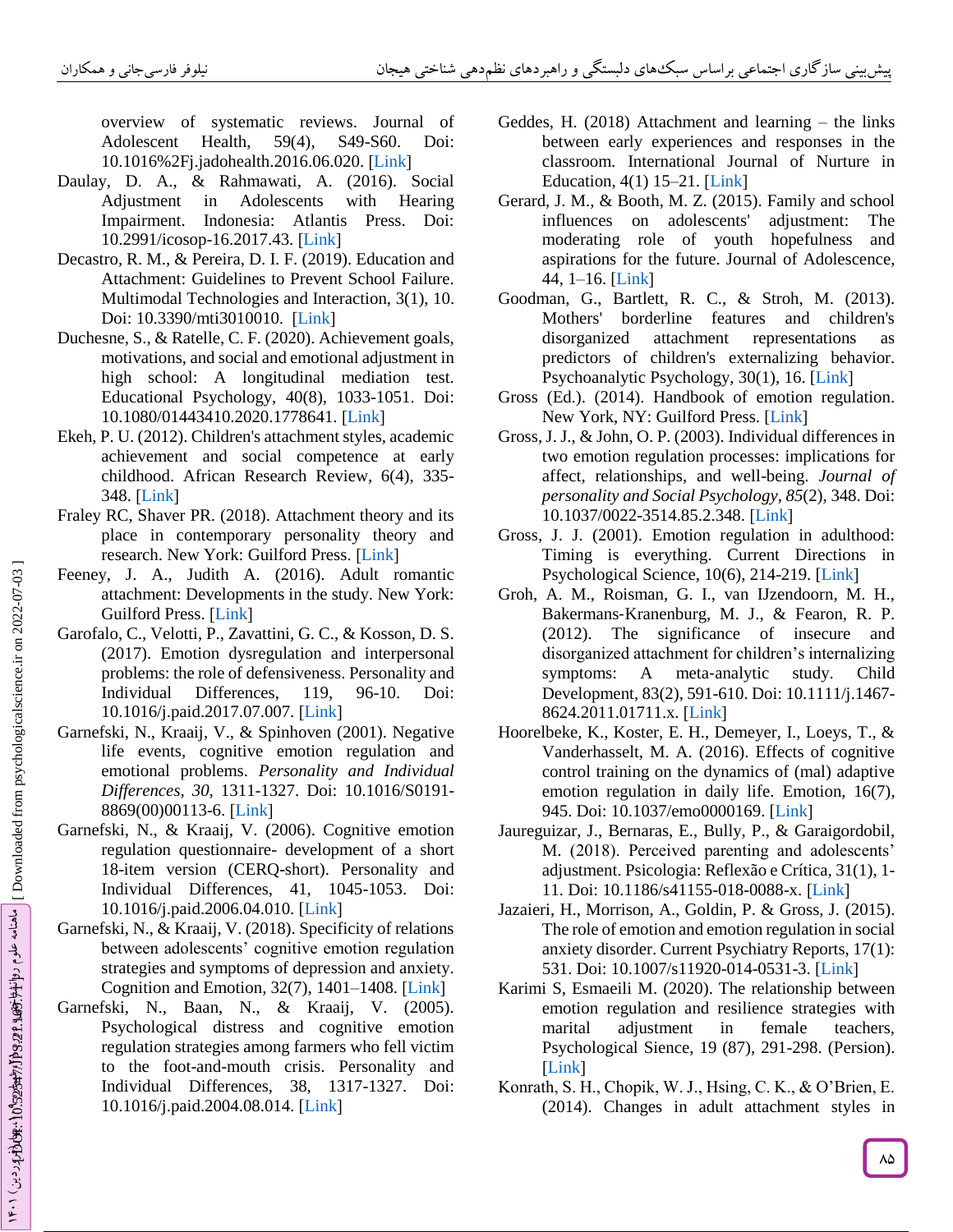overview of systematic reviews. Journal of Adolescent Health,  $59(4)$ , S49-S60. Doi: 10.1016%2Fj.jadohealth.2016.06.020[.](10.1016%2Fj.jadohealth.2016.06.020) [Link]

- Daulay, D. A., & Rahmawati, A. (2016). Social Adjustment in Adolescents with Hearing Impairment. Indonesia: Atlantis Press. Doi: 10.2991/icosop-16.2017.43. [Link]
- Decastro, R. M., & Pereira, D. I. F. (2019). Education and Attachment: Guidelines to Prevent School Failure. Multimodal Technologies and Interaction, 3(1), 10. Doi: 10.3390/mti3010010. [Link]
- Duchesne, S., & Ratelle, C. F. (2020). Achievement goals, motivations, and social and emotional adjustment in high school: A longitudinal mediation test. Educational Psychology, 40(8), 1033 -1051. Doi: 10.1080/01443410.2020.1778641.[Link]
- Ekeh, P. U. (2012). Children's attachment styles, academic achievement and social competence at early childhood. African Research Review, 6(4), 335 - 348.[Link]
- Fraley RC, Shaver PR. (2018). Attachment theory and its place in contemporary personality theory and research. New York: Guilford Press. [Link]
- Feeney, J. A., Judith A. (2016). Adult romantic attachment: Developments in the study. New York: GuilfordPress. [Link]
- Garofalo, C., Velotti, P., Zavattini, G. C., & Kosson, D. S. (2017). Emotion dysregulation and interpersonal problems: the role of defensiveness. Personality and Individual Differences, 119, 96-10. Doi: 10.1016/j.paid.2017.07.007.[Link]
- Garnefski, N., Kraaij, V., & Spinhoven (2001). Negative life events, cognitive emotion regulation and emotional problems. *Personality and Individual Differences, 30,* 1311 -1327. Doi: 10.1016/S0191 - 8869(00)00113-6.[Link]
- Garnefski, N., & Kraaij, V. (2006). Cognitive emotion regulation questionnaire - development of a short 18 -item version (CERQ -short). Personality and Individual Differences, 41, 1045 -1053. Doi: 10.1016/j.paid.2006.04.010. [\[Lin](https://doi.org/10.1016/j.paid.2006.04.010) k [
- Garnefski, N., & Kraaij, V. (2018). Specificity of relations between adolescents' cognitive emotion regulation strategies and symptoms of depression and anxiety. Cognition and Emotion,  $32(7)$ ,  $1401-1408$ . [Link]
- Garnefski, N., Baan, N., & Kraaij, V. (2005). Psychological distress and cognitive emotion regulation strategies among farmers who fell victim to the foot -and -mouth crisis. Personality and Individual Differences, 38, 1317 -1327. Doi: 10.1016/j.paid.2004.08.014. [\[Link](https://doi.org/10.1016/j.paid.2004.08.014) [
- Geddes, H. (2018) Attachment and learning the links between early experiences and responses in the classroom. International Journal of Nurture in Education, $4(1)$  15–21. [Link]
- Gerard, J. M., & Booth, M. Z. (2015). Family and school influences on adolescents' adjustment: The moderating role of youth hopefulness and aspirations for the future. Journal of Adolescence, 44, 1 –16. [\[Link](https://doi.org/10.1016/j.adolescence.2015.06.003) [
- Goodman, G., Bartlett, R. C., & Stroh, M. (2013). Mothers' borderline features and children's disorganized attachment representations as predictors of children's externalizing behavior. Psychoanalytic Psychology, 30(1), 16. [\[Link](https://psycnet.apa.org/doi/10.1037/a0031068)]
- Gross (Ed.). (2014). Handbook of emotion regulation. New York, NY: Guilford Press. [\[Lin](https://www.guilford.com/books/Handbook-of-Emotion-Regulation/James-Gross/9781462520732/reviews)k]
- Gross, J. J., & John, O. P. (2003). Individual differences in two emotion regulation processes: implications for affect, relationships, and well -being. *Journal of personality and Social Psychology* , *85*(2), 348. Doi: 10.1037/0022-3514.85.2.348.[Link]
- Gross, J. J. (2001). Emotion regulation in adulthood: Timing is everything. Current Directions in Psychological Science, 10(6), 214-219. [\[Link](https://doi.org/10.1111%2F1467-8721.00152)]
- Groh, A. M., Roisman, G. I., van IJzendoorn, M. H., Bakermans ‐Kranenburg, M. J., & Fearon, R. P. (2012). The significance of insecure and disorganized attachment for children's internalizing symptoms:  $\overline{A}$ meta-analytic study. Child Development, 83(2), 591 -610. Doi: 10.1111/j.1467 - 8624.2011.01711.x.[Link]
- Hoorelbeke, K., Koster, E. H., Demeyer, I., Loeys, T., & Vanderhasselt, M. A. (2016). Effects of cognitive control training on the dynamics of (mal) adaptive emotion regulation in daily life. Emotion, 16(7), 945. Doi: 10.1037/emo0000169. [\[Link](https://psycnet.apa.org/doi/10.1037/emo0000169)]
- Jaureguizar, J., Bernaras, E., Bully, P., & Garaigordobil, M. (2018). Perceived parenting and adolescents' adjustment. Psicologia: Reflexão e Crítica, 31(1), 1 - 11.Doi: 10.1186/s41155-018-0088-x. [Link]
- Jazaieri, H., Morrison, A., Goldin, P. & Gross, J. (2015). The role of emotion and emotion regulation in social anxiety disorder. Current Psychiatry Reports, 17(1): 531. Doi: 10.1007/s11920-014-0531-3. [\[Link](https://link.springer.com/article/10.1007%2Fs11920-014-0531-3)]
- Karimi S, Esmaeili M. (2020). The relationship between emotion regulation and resilience strategies with marital adjustment in female teachers, Psychological Sience, 19 (87), 291 -298. (Persion). [Link]
- Konrath, S. H., Chopik, W. J., Hsing, C. K., & O'Brien, E. (2014). Changes in adult attachment styles in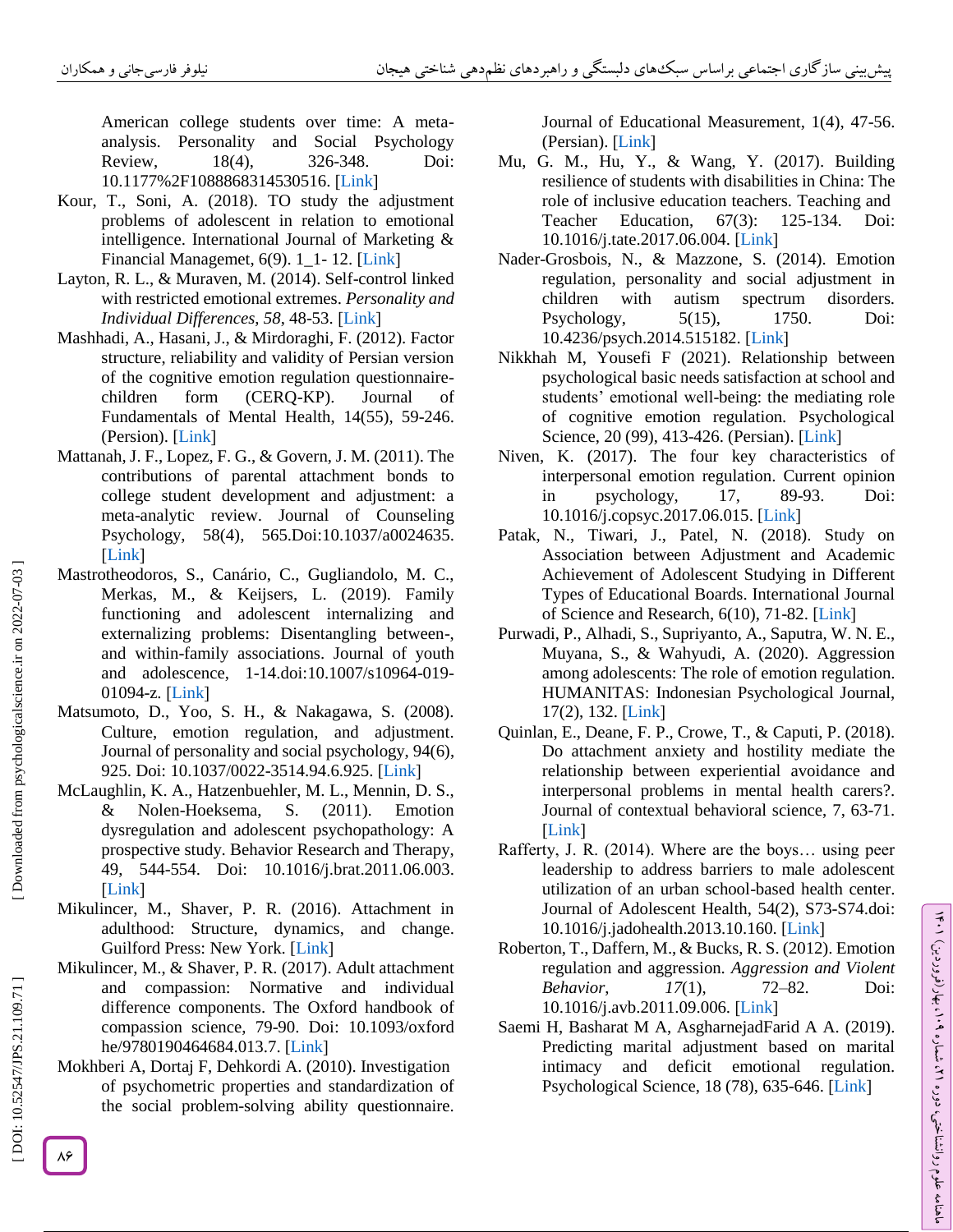American college students over time: A meta analysis. Personality and Social Psychology Review,  $18(4)$ , -348. Doi: 10.1177%2F1088868314530516. [Link]

- Kour, T., Soni, A. (2018). TO study the adjustment problems of adolescent in relation to emotional intelligence. International Journal of Marketing & Financial Managemet, 6(9). 1<sup>1</sup>-12. [\[Link](http://ddeku.edu.in/Files/2cfa4584-5afe-43ce-aa4b-ad936cc9d3be/Journal/de79c0f0-f40f-4efd-b41b-3fde52101f9c.pdf)]
- Layton, R. L., & Muraven, M. (2014). Self -control linked with restricted emotional extremes. *Personality and*  IndividualDifferences, 58, 48-53. [Link]
- Mashhadi, A., Hasani, J., & Mirdoraghi, F. (2012). Factor structure, reliability and validity of Persian version of the cognitive emotion regulation questionnairechildren form (CERQ-KP). Journal of Fundamentals of Mental Health, 14(55), 59 -246. (Persion). [\[Link](https://jfmh.mums.ac.ir/article_942.html?lang=en) [
- Mattanah, J. F., Lopez, F. G., & Govern, J. M. (2011). The contributions of parental attachment bonds to college student development and adjustment: a meta -analytic review. Journal of Counseling Psychology, 58(4), 565.Doi:10.1037/a0024635.  $[Link]$
- Mastrotheodoros, S., Canário, C., Gugliandolo, M. C., Merkas, M., & Keijsers, L. (2019). Family functioning and adolescent internalizing and externalizing problems: Disentangling between -, and within -family associations. Journal of youth and adolescence, 1-14.doi:10.1007/s10964-019-01094-z. [Link]
- Matsumoto, D., Yoo, S. H., & Nakagawa, S. (2008). Culture, emotion regulation, and adjustment. Journal of personality and social psychology, 94(6), 925. Doi: 10.1037/0022-3514.94.6.925. [\[Link](https://link.springer.com/article/10.1007/s10964-019-01094-z)]
- McLaughlin, K. A., Hatzenbuehler, M. L., Mennin, D. S., & Nolen-Hoeksema, S. (2011). Emotion dysregulation and adolescent psychopathology: A prospective study. Behavior Research and Therapy, 49, 544 -554. Doi: 10.1016/j.brat.2011.06.003. [Link]
- Mikulincer, M., Shaver, P. R. (2016). Attachment in adulthood: Structure, dynamics, and change. Guilford Press: New York. [\[Link](https://books.google.com/books?hl=en&lr=&id=d0MlDAAAQBAJ&oi=fnd&pg=PR1&dq=Mikulincer,+M.,+Shaver,+P.+R.+\(2016\).+Attachment+in+adulthood:+Structure,+dynamics,+and+change.+Guilford+Press:+New+York.+%5DLink%5B&ots=iBhqpVqleO&sig=KfET2-_cTZlubyHZ5Gv8e8gCOnA#v=onepage&q&f=false)]
- Mikulincer, M., & Shaver, P. R. (2017). Adult attachment and compassion: Normative and individual difference components. The Oxford handbook of compassion science, 79 -90. Doi: 10.1093/oxford he/9780190464684.013.7. [\[Link](file:///C:/Users/LENOVO/Desktop/10.1093/oxfordhb/9780190464684.013.7)]
- Mokhberi A, Dortaj F, Dehkordi A. (2010). Investigation of psychometric properties and standardization of the social problem -solving ability questionnaire.

Journal of Educational Measurement, 1(4), 47 -56. (Persian). [Link]

- Mu, G. M., Hu, Y., & Wang, Y. (2017). Building resilience of students with disabilities in China: The role of inclusive education teachers. Teaching and Teacher Education,  $67(3)$ : -134. Doi: 10.1016/j.tate.2017.06.004. [\[Link](https://doi.org/10.1016/j.tate.2017.06.004) [
- Nader -Grosbois, N., & Mazzone, S. (2014). Emotion regulation, personality and social adjustment in children with autism spectrum disorders. Psychology, 5(15), 1750. Doi: 10.4236/psych.2014.515182. [\[Link](http://www.scirp.org/journal/PaperInformation.aspx?PaperID=50887&#abstract) [
- Nikkhah M, Yousefi F (2021). Relationship between psychological basic needs satisfaction at school and students' emotional well -being: the mediating role of cognitive emotion regulation. Psychological Science, 20 (99), 413-426. (Persian). [Link]
- Niven, K. (2017). The four key characteristics of interpersonal emotion regulation. Current opinion in psychology, 17, 89-93. Doi: 10.1016/j.copsyc.2017.06.015 . [\[Link](https://doi.org/10.1016/j.copsyc.2017.06.015) [
- Patak, N., Tiwari, J., Patel, N. (2018). Study on Association between Adjustment and Academic Achievement of Adolescent Studying in Different Types of Educational Boards. International Journal of Science and Research, 6(10), 71-82. [\[Link](https://www.ijsr.net/get_abstract.php?paper_id=ART20179960)]
- Purwadi, P., Alhadi, S., Supriyanto, A., Saputra, W. N. E., Muyana, S., & Wahyudi, A. (2020). Aggression among adolescents: The role of emotion regulation. HUMANITAS: Indonesian Psychological Journal, 17(2), 132[.](https://www.researchgate.net/profile/Purwadi-Purwadi-2/publication/343992829_Aggression_among_adolescents_The_role_of_emotion_regulation/links/5f56419b299bf13a31a81a56/Aggression-among-adolescents-The-role-of-emotion-regulation.pdf) [Link]
- Quinlan, E., Deane, F. P., Crowe, T., & Caputi, P. (2018). Do attachment anxiety and hostility mediate the relationship between experiential avoidance and interpersonal problems in mental health carers?. Journal of contextual behavioral science, 7, 63 -71. [Link]
- Rafferty, J. R. (2014). Where are the boys… using peer leadership to address barriers to male adolescent utilization of an urban school -based health center. Journal of Adolescent Health, 54(2), S73 -S74.doi: 10.1016/j.jadohealth.2013.10.160. [\[Link](doi:%2010.1016/j.jadohealth.2013.10.160) [
- Roberton, T., Daffern, M., & Bucks, R. S. (2012). Emotion regulation and aggression. *Aggression and Violent Behavior*, *17(1)*, –82. Doi: 10.1016/j.avb.2011.09.006.[Link]
- Saemi H, Basharat M A, AsgharnejadFarid A A. (2019). Predicting marital adjustment based on marital intimacy and deficit emotional regulation. Psychological Science, 18 (78), 635-646. [Link]